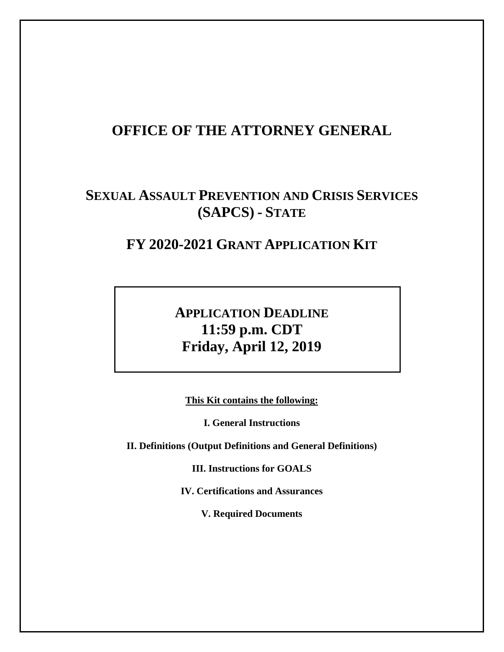# **OFFICE OF THE ATTORNEY GENERAL**

# **SEXUAL ASSAULT PREVENTION AND CRISIS SERVICES (SAPCS) - STATE**

# **FY 2020-2021 GRANT APPLICATION KIT**

# **APPLICATION DEADLINE 11:59 p.m. CDT Friday, April 12, 2019**

**This Kit contains the following:** 

**I. General Instructions** 

**II. Definitions (Output Definitions and General Definitions)** 

**III. Instructions for GOALS** 

**IV. Certifications and Assurances** 

**V. Required Documents**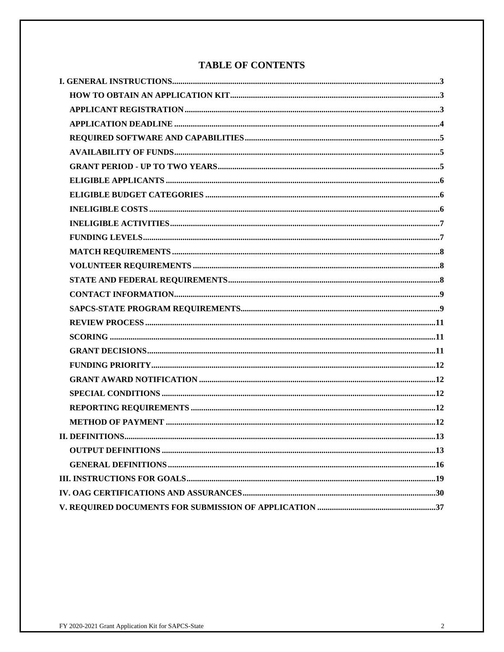# **TABLE OF CONTENTS**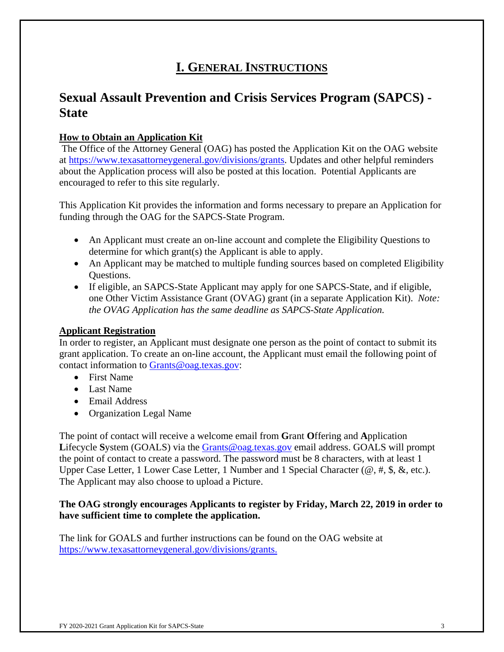# **I. GENERAL INSTRUCTIONS**

# **Sexual Assault Prevention and Crisis Services Program (SAPCS) - State**

## **How to Obtain an Application Kit**

The Office of the Attorney General (OAG) has posted the Application Kit on the OAG website at https://www.texasattorneygeneral.gov/divisions/grants. Updates and other helpful reminders about the Application process will also be posted at this location. Potential Applicants are encouraged to refer to this site regularly.

This Application Kit provides the information and forms necessary to prepare an Application for funding through the OAG for the SAPCS-State Program.

- An Applicant must create an on-line account and complete the Eligibility Questions to determine for which grant(s) the Applicant is able to apply.
- An Applicant may be matched to multiple funding sources based on completed Eligibility Questions.
- If eligible, an SAPCS-State Applicant may apply for one SAPCS-State, and if eligible, one Other Victim Assistance Grant (OVAG) grant (in a separate Application Kit). *Note: the OVAG Application has the same deadline as SAPCS-State Application.*

### **Applicant Registration**

In order to register, an Applicant must designate one person as the point of contact to submit its grant application. To create an on-line account, the Applicant must email the following point of contact information to Grants@oag.texas.gov:

- First Name
- Last Name
- Email Address
- Organization Legal Name

The point of contact will receive a welcome email from **G**rant **O**ffering and **A**pplication Lifecycle System (GOALS) via the **Grants@oag.texas.gov** email address. GOALS will prompt the point of contact to create a password. The password must be 8 characters, with at least 1 Upper Case Letter, 1 Lower Case Letter, 1 Number and 1 Special Character ( $\omega$ , #, \$, &, etc.). The Applicant may also choose to upload a Picture.

### **The OAG strongly encourages Applicants to register by Friday, March 22, 2019 in order to have sufficient time to complete the application.**

The link for GOALS and further instructions can be found on the OAG website at https://www.texasattorneygeneral.gov/divisions/grants.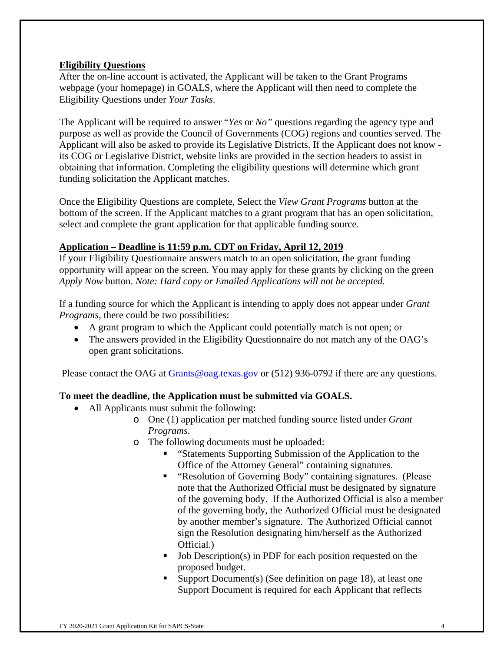### **Eligibility Questions**

After the on-line account is activated, the Applicant will be taken to the Grant Programs webpage (your homepage) in GOALS, where the Applicant will then need to complete the Eligibility Questions under *Your Tasks*.

The Applicant will be required to answer "*Yes* or *No"* questions regarding the agency type and purpose as well as provide the Council of Governments (COG) regions and counties served. The Applicant will also be asked to provide its Legislative Districts. If the Applicant does not know its COG or Legislative District, website links are provided in the section headers to assist in obtaining that information. Completing the eligibility questions will determine which grant funding solicitation the Applicant matches.

Once the Eligibility Questions are complete, Select the *View Grant Programs* button at the bottom of the screen. If the Applicant matches to a grant program that has an open solicitation, select and complete the grant application for that applicable funding source.

## **Application – Deadline is 11:59 p.m. CDT on Friday, April 12, 2019**

If your Eligibility Questionnaire answers match to an open solicitation, the grant funding opportunity will appear on the screen. You may apply for these grants by clicking on the green *Apply Now* button. *Note: Hard copy or Emailed Applications will not be accepted.*

If a funding source for which the Applicant is intending to apply does not appear under *Grant Programs*, there could be two possibilities:

- A grant program to which the Applicant could potentially match is not open; or
- The answers provided in the Eligibility Questionnaire do not match any of the OAG's open grant solicitations.

Please contact the OAG at Grants@oag.texas.gov or (512) 936-0792 if there are any questions.

### **To meet the deadline, the Application must be submitted via GOALS.**

- All Applicants must submit the following:
	- o One (1) application per matched funding source listed under *Grant Programs*.
	- o The following documents must be uploaded:
		- "Statements Supporting Submission of the Application to the Office of the Attorney General" containing signatures.
		- **EXECUTE:** "Resolution of Governing Body" containing signatures. (Please note that the Authorized Official must be designated by signature of the governing body. If the Authorized Official is also a member of the governing body, the Authorized Official must be designated by another member's signature. The Authorized Official cannot sign the Resolution designating him/herself as the Authorized Official.)
		- Job Description(s) in PDF for each position requested on the proposed budget.
		- Support Document(s) (See definition on page 18), at least one Support Document is required for each Applicant that reflects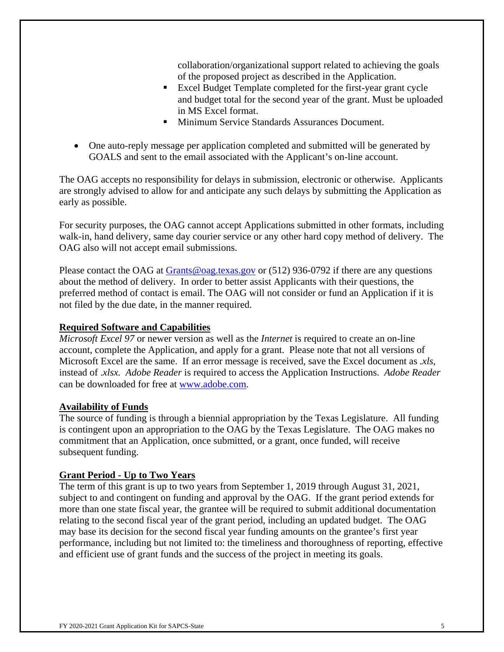collaboration/organizational support related to achieving the goals of the proposed project as described in the Application.

- Excel Budget Template completed for the first-year grant cycle and budget total for the second year of the grant. Must be uploaded in MS Excel format.
- Minimum Service Standards Assurances Document.
- One auto-reply message per application completed and submitted will be generated by GOALS and sent to the email associated with the Applicant's on-line account.

The OAG accepts no responsibility for delays in submission, electronic or otherwise. Applicants are strongly advised to allow for and anticipate any such delays by submitting the Application as early as possible.

For security purposes, the OAG cannot accept Applications submitted in other formats, including walk-in, hand delivery, same day courier service or any other hard copy method of delivery. The OAG also will not accept email submissions.

Please contact the OAG at Grants@oag.texas.gov or (512) 936-0792 if there are any questions about the method of delivery. In order to better assist Applicants with their questions, the preferred method of contact is email. The OAG will not consider or fund an Application if it is not filed by the due date, in the manner required.

### **Required Software and Capabilities**

*Microsoft Excel 97* or newer version as well as the *Internet* is required to create an on-line account, complete the Application, and apply for a grant. Please note that not all versions of Microsoft Excel are the same. If an error message is received, save the Excel document as *.xls*, instead of .*xlsx. Adobe Reader* is required to access the Application Instructions. *Adobe Reader*  can be downloaded for free at www.adobe.com.

### **Availability of Funds**

The source of funding is through a biennial appropriation by the Texas Legislature. All funding is contingent upon an appropriation to the OAG by the Texas Legislature. The OAG makes no commitment that an Application, once submitted, or a grant, once funded, will receive subsequent funding.

### **Grant Period - Up to Two Years**

The term of this grant is up to two years from September 1, 2019 through August 31, 2021, subject to and contingent on funding and approval by the OAG. If the grant period extends for more than one state fiscal year, the grantee will be required to submit additional documentation relating to the second fiscal year of the grant period, including an updated budget. The OAG may base its decision for the second fiscal year funding amounts on the grantee's first year performance, including but not limited to: the timeliness and thoroughness of reporting, effective and efficient use of grant funds and the success of the project in meeting its goals.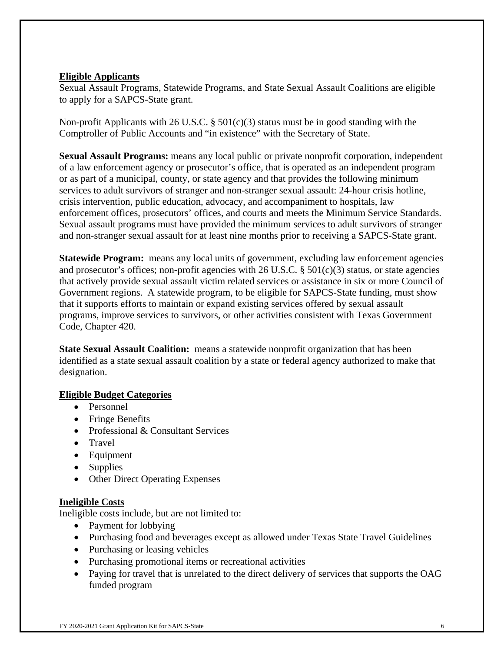### **Eligible Applicants**

Sexual Assault Programs, Statewide Programs, and State Sexual Assault Coalitions are eligible to apply for a SAPCS-State grant.

Non-profit Applicants with 26 U.S.C. § 501(c)(3) status must be in good standing with the Comptroller of Public Accounts and "in existence" with the Secretary of State.

**Sexual Assault Programs:** means any local public or private nonprofit corporation, independent of a law enforcement agency or prosecutor's office, that is operated as an independent program or as part of a municipal, county, or state agency and that provides the following minimum services to adult survivors of stranger and non-stranger sexual assault: 24-hour crisis hotline, crisis intervention, public education, advocacy, and accompaniment to hospitals, law enforcement offices, prosecutors' offices, and courts and meets the Minimum Service Standards. Sexual assault programs must have provided the minimum services to adult survivors of stranger and non-stranger sexual assault for at least nine months prior to receiving a SAPCS-State grant.

**Statewide Program:** means any local units of government, excluding law enforcement agencies and prosecutor's offices; non-profit agencies with 26 U.S.C.  $\S$  501(c)(3) status, or state agencies that actively provide sexual assault victim related services or assistance in six or more Council of Government regions. A statewide program, to be eligible for SAPCS-State funding, must show that it supports efforts to maintain or expand existing services offered by sexual assault programs, improve services to survivors, or other activities consistent with Texas Government Code, Chapter 420.

**State Sexual Assault Coalition:** means a statewide nonprofit organization that has been identified as a state sexual assault coalition by a state or federal agency authorized to make that designation.

### **Eligible Budget Categories**

- Personnel
- Fringe Benefits
- Professional & Consultant Services
- Travel
- Equipment
- Supplies
- Other Direct Operating Expenses

### **Ineligible Costs**

Ineligible costs include, but are not limited to:

- Payment for lobbying
- Purchasing food and beverages except as allowed under Texas State Travel Guidelines
- Purchasing or leasing vehicles
- Purchasing promotional items or recreational activities
- Paying for travel that is unrelated to the direct delivery of services that supports the OAG funded program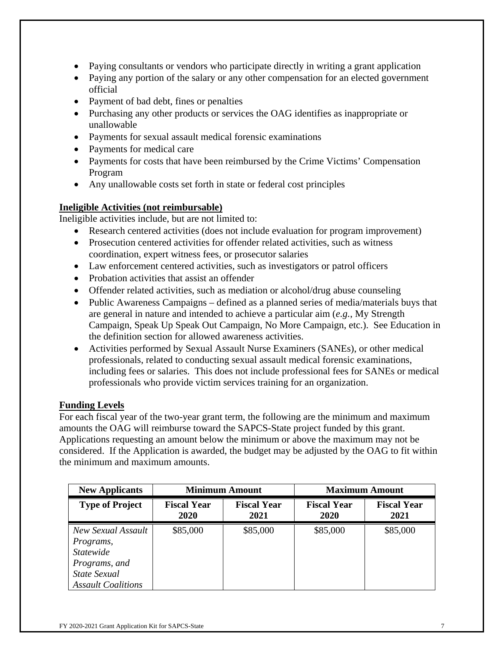- Paying consultants or vendors who participate directly in writing a grant application
- Paying any portion of the salary or any other compensation for an elected government official
- Payment of bad debt, fines or penalties
- Purchasing any other products or services the OAG identifies as inappropriate or unallowable
- Payments for sexual assault medical forensic examinations
- Payments for medical care
- Payments for costs that have been reimbursed by the Crime Victims' Compensation Program
- Any unallowable costs set forth in state or federal cost principles

### **Ineligible Activities (not reimbursable)**

Ineligible activities include, but are not limited to:

- Research centered activities (does not include evaluation for program improvement)
- Prosecution centered activities for offender related activities, such as witness coordination, expert witness fees, or prosecutor salaries
- Law enforcement centered activities, such as investigators or patrol officers
- Probation activities that assist an offender
- Offender related activities, such as mediation or alcohol/drug abuse counseling
- Public Awareness Campaigns defined as a planned series of media/materials buys that are general in nature and intended to achieve a particular aim (*e.g.*, My Strength Campaign, Speak Up Speak Out Campaign, No More Campaign, etc.). See Education in the definition section for allowed awareness activities.
- Activities performed by Sexual Assault Nurse Examiners (SANEs), or other medical professionals, related to conducting sexual assault medical forensic examinations, including fees or salaries. This does not include professional fees for SANEs or medical professionals who provide victim services training for an organization.

### **Funding Levels**

For each fiscal year of the two-year grant term, the following are the minimum and maximum amounts the OAG will reimburse toward the SAPCS-State project funded by this grant. Applications requesting an amount below the minimum or above the maximum may not be considered. If the Application is awarded, the budget may be adjusted by the OAG to fit within the minimum and maximum amounts.

| <b>New Applicants</b>                                                                                             | <b>Minimum Amount</b>                                    |  |                            |                            |  | <b>Maximum Amount</b> |
|-------------------------------------------------------------------------------------------------------------------|----------------------------------------------------------|--|----------------------------|----------------------------|--|-----------------------|
| <b>Type of Project</b>                                                                                            | <b>Fiscal Year</b><br><b>Fiscal Year</b><br>2020<br>2021 |  | <b>Fiscal Year</b><br>2020 | <b>Fiscal Year</b><br>2021 |  |                       |
| New Sexual Assault<br>Programs,<br><b>Statewide</b><br>Programs, and<br>State Sexual<br><b>Assault Coalitions</b> | \$85,000<br>\$85,000                                     |  | \$85,000                   | \$85,000                   |  |                       |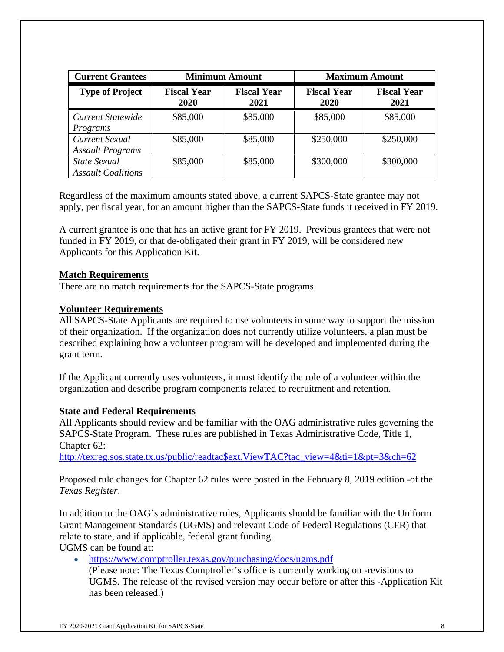| <b>Current Grantees</b>                   | <b>Minimum Amount</b>                                    |          | <b>Maximum Amount</b>      |                            |
|-------------------------------------------|----------------------------------------------------------|----------|----------------------------|----------------------------|
| <b>Type of Project</b>                    | <b>Fiscal Year</b><br><b>Fiscal Year</b><br>2020<br>2021 |          | <b>Fiscal Year</b><br>2020 | <b>Fiscal Year</b><br>2021 |
| Current Statewide<br>Programs             | \$85,000                                                 | \$85,000 | \$85,000                   | \$85,000                   |
| Current Sexual<br><b>Assault Programs</b> | \$85,000                                                 | \$85,000 | \$250,000                  | \$250,000                  |
| State Sexual<br><b>Assault Coalitions</b> | \$85,000                                                 | \$85,000 | \$300,000                  | \$300,000                  |

Regardless of the maximum amounts stated above, a current SAPCS-State grantee may not apply, per fiscal year, for an amount higher than the SAPCS-State funds it received in FY 2019.

A current grantee is one that has an active grant for FY 2019. Previous grantees that were not funded in FY 2019, or that de-obligated their grant in FY 2019, will be considered new Applicants for this Application Kit.

### **Match Requirements**

There are no match requirements for the SAPCS-State programs.

#### **Volunteer Requirements**

All SAPCS-State Applicants are required to use volunteers in some way to support the mission of their organization. If the organization does not currently utilize volunteers, a plan must be described explaining how a volunteer program will be developed and implemented during the grant term.

If the Applicant currently uses volunteers, it must identify the role of a volunteer within the organization and describe program components related to recruitment and retention.

#### **State and Federal Requirements**

All Applicants should review and be familiar with the OAG administrative rules governing the SAPCS-State Program. These rules are published in Texas Administrative Code, Title 1, Chapter 62:

http://texreg.sos.state.tx.us/public/readtac\$ext.ViewTAC?tac\_view=4&ti=1&pt=3&ch=62

Proposed rule changes for Chapter 62 rules were posted in the February 8, 2019 edition -of the *Texas Register*.

In addition to the OAG's administrative rules, Applicants should be familiar with the Uniform Grant Management Standards (UGMS) and relevant Code of Federal Regulations (CFR) that relate to state, and if applicable, federal grant funding. UGMS can be found at:

 https://www.comptroller.texas.gov/purchasing/docs/ugms.pdf (Please note: The Texas Comptroller's office is currently working on -revisions to UGMS. The release of the revised version may occur before or after this -Application Kit has been released.)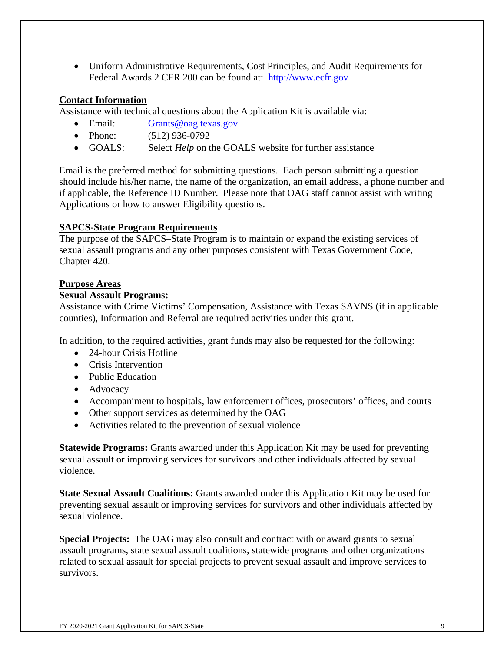Uniform Administrative Requirements, Cost Principles, and Audit Requirements for Federal Awards 2 CFR 200 can be found at: http://www.ecfr.gov

### **Contact Information**

Assistance with technical questions about the Application Kit is available via:

- Email: Grants@oag.texas.gov
- Phone: (512) 936-0792
- GOALS: Select *Help* on the GOALS website for further assistance

Email is the preferred method for submitting questions. Each person submitting a question should include his/her name, the name of the organization, an email address, a phone number and if applicable, the Reference ID Number. Please note that OAG staff cannot assist with writing Applications or how to answer Eligibility questions.

### **SAPCS-State Program Requirements**

The purpose of the SAPCS–State Program is to maintain or expand the existing services of sexual assault programs and any other purposes consistent with Texas Government Code, Chapter 420.

## **Purpose Areas**

### **Sexual Assault Programs:**

Assistance with Crime Victims' Compensation, Assistance with Texas SAVNS (if in applicable counties), Information and Referral are required activities under this grant.

In addition, to the required activities, grant funds may also be requested for the following:

- 24-hour Crisis Hotline
- Crisis Intervention
- Public Education
- Advocacy
- Accompaniment to hospitals, law enforcement offices, prosecutors' offices, and courts
- Other support services as determined by the OAG
- Activities related to the prevention of sexual violence

**Statewide Programs:** Grants awarded under this Application Kit may be used for preventing sexual assault or improving services for survivors and other individuals affected by sexual violence.

**State Sexual Assault Coalitions:** Grants awarded under this Application Kit may be used for preventing sexual assault or improving services for survivors and other individuals affected by sexual violence.

**Special Projects:** The OAG may also consult and contract with or award grants to sexual assault programs, state sexual assault coalitions, statewide programs and other organizations related to sexual assault for special projects to prevent sexual assault and improve services to survivors.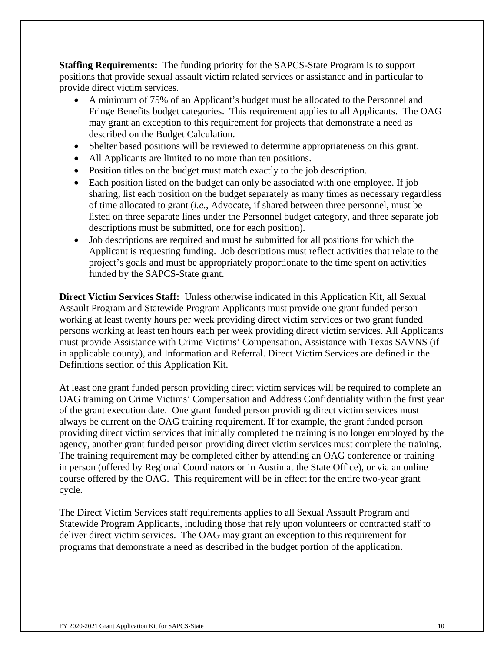**Staffing Requirements:** The funding priority for the SAPCS-State Program is to support positions that provide sexual assault victim related services or assistance and in particular to provide direct victim services.

- A minimum of 75% of an Applicant's budget must be allocated to the Personnel and Fringe Benefits budget categories. This requirement applies to all Applicants. The OAG may grant an exception to this requirement for projects that demonstrate a need as described on the Budget Calculation.
- Shelter based positions will be reviewed to determine appropriateness on this grant.
- All Applicants are limited to no more than ten positions.
- Position titles on the budget must match exactly to the job description.
- Each position listed on the budget can only be associated with one employee. If job sharing, list each position on the budget separately as many times as necessary regardless of time allocated to grant (*i.e.*, Advocate, if shared between three personnel, must be listed on three separate lines under the Personnel budget category, and three separate job descriptions must be submitted, one for each position).
- Job descriptions are required and must be submitted for all positions for which the Applicant is requesting funding. Job descriptions must reflect activities that relate to the project's goals and must be appropriately proportionate to the time spent on activities funded by the SAPCS-State grant.

**Direct Victim Services Staff:** Unless otherwise indicated in this Application Kit, all Sexual Assault Program and Statewide Program Applicants must provide one grant funded person working at least twenty hours per week providing direct victim services or two grant funded persons working at least ten hours each per week providing direct victim services. All Applicants must provide Assistance with Crime Victims' Compensation, Assistance with Texas SAVNS (if in applicable county), and Information and Referral. Direct Victim Services are defined in the Definitions section of this Application Kit.

At least one grant funded person providing direct victim services will be required to complete an OAG training on Crime Victims' Compensation and Address Confidentiality within the first year of the grant execution date. One grant funded person providing direct victim services must always be current on the OAG training requirement. If for example, the grant funded person providing direct victim services that initially completed the training is no longer employed by the agency, another grant funded person providing direct victim services must complete the training. The training requirement may be completed either by attending an OAG conference or training in person (offered by Regional Coordinators or in Austin at the State Office), or via an online course offered by the OAG. This requirement will be in effect for the entire two-year grant cycle.

The Direct Victim Services staff requirements applies to all Sexual Assault Program and Statewide Program Applicants, including those that rely upon volunteers or contracted staff to deliver direct victim services. The OAG may grant an exception to this requirement for programs that demonstrate a need as described in the budget portion of the application.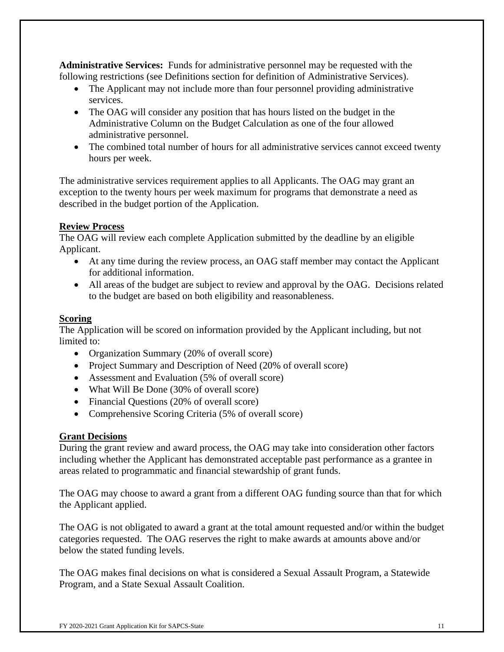**Administrative Services:** Funds for administrative personnel may be requested with the following restrictions (see Definitions section for definition of Administrative Services).

- The Applicant may not include more than four personnel providing administrative services.
- The OAG will consider any position that has hours listed on the budget in the Administrative Column on the Budget Calculation as one of the four allowed administrative personnel.
- The combined total number of hours for all administrative services cannot exceed twenty hours per week.

The administrative services requirement applies to all Applicants. The OAG may grant an exception to the twenty hours per week maximum for programs that demonstrate a need as described in the budget portion of the Application.

## **Review Process**

The OAG will review each complete Application submitted by the deadline by an eligible Applicant.

- At any time during the review process, an OAG staff member may contact the Applicant for additional information.
- All areas of the budget are subject to review and approval by the OAG. Decisions related to the budget are based on both eligibility and reasonableness.

## **Scoring**

The Application will be scored on information provided by the Applicant including, but not limited to:

- Organization Summary (20% of overall score)
- Project Summary and Description of Need (20% of overall score)
- Assessment and Evaluation (5% of overall score)
- What Will Be Done (30% of overall score)
- Financial Questions (20% of overall score)
- Comprehensive Scoring Criteria (5% of overall score)

### **Grant Decisions**

During the grant review and award process, the OAG may take into consideration other factors including whether the Applicant has demonstrated acceptable past performance as a grantee in areas related to programmatic and financial stewardship of grant funds.

The OAG may choose to award a grant from a different OAG funding source than that for which the Applicant applied.

The OAG is not obligated to award a grant at the total amount requested and/or within the budget categories requested. The OAG reserves the right to make awards at amounts above and/or below the stated funding levels.

The OAG makes final decisions on what is considered a Sexual Assault Program, a Statewide Program, and a State Sexual Assault Coalition.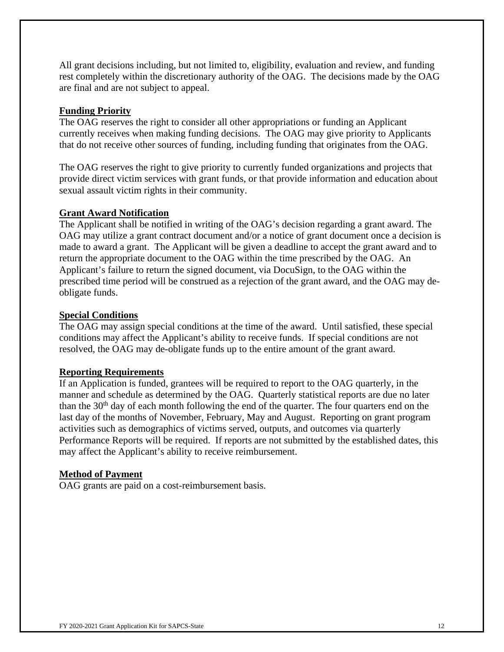All grant decisions including, but not limited to, eligibility, evaluation and review, and funding rest completely within the discretionary authority of the OAG. The decisions made by the OAG are final and are not subject to appeal.

### **Funding Priority**

The OAG reserves the right to consider all other appropriations or funding an Applicant currently receives when making funding decisions. The OAG may give priority to Applicants that do not receive other sources of funding, including funding that originates from the OAG.

The OAG reserves the right to give priority to currently funded organizations and projects that provide direct victim services with grant funds, or that provide information and education about sexual assault victim rights in their community.

### **Grant Award Notification**

The Applicant shall be notified in writing of the OAG's decision regarding a grant award. The OAG may utilize a grant contract document and/or a notice of grant document once a decision is made to award a grant. The Applicant will be given a deadline to accept the grant award and to return the appropriate document to the OAG within the time prescribed by the OAG. An Applicant's failure to return the signed document, via DocuSign, to the OAG within the prescribed time period will be construed as a rejection of the grant award, and the OAG may deobligate funds.

### **Special Conditions**

The OAG may assign special conditions at the time of the award. Until satisfied, these special conditions may affect the Applicant's ability to receive funds. If special conditions are not resolved, the OAG may de-obligate funds up to the entire amount of the grant award.

### **Reporting Requirements**

If an Application is funded, grantees will be required to report to the OAG quarterly, in the manner and schedule as determined by the OAG. Quarterly statistical reports are due no later than the  $30<sup>th</sup>$  day of each month following the end of the quarter. The four quarters end on the last day of the months of November, February, May and August. Reporting on grant program activities such as demographics of victims served, outputs, and outcomes via quarterly Performance Reports will be required. If reports are not submitted by the established dates, this may affect the Applicant's ability to receive reimbursement.

### **Method of Payment**

OAG grants are paid on a cost-reimbursement basis.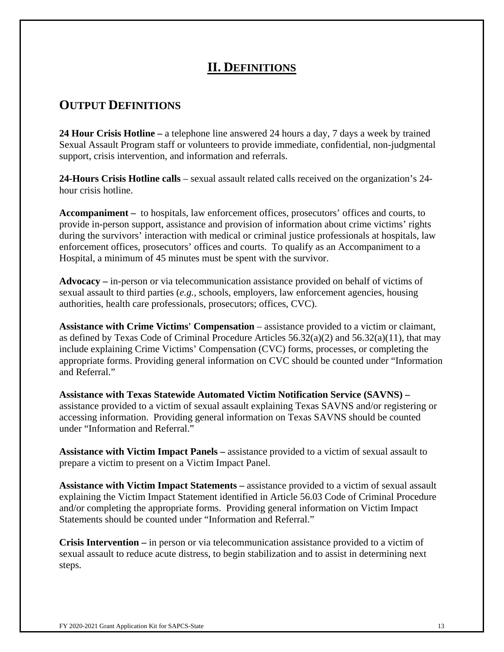# **II. DEFINITIONS**

# **OUTPUT DEFINITIONS**

**24 Hour Crisis Hotline –** a telephone line answered 24 hours a day, 7 days a week by trained Sexual Assault Program staff or volunteers to provide immediate, confidential, non-judgmental support, crisis intervention, and information and referrals.

**24-Hours Crisis Hotline calls** – sexual assault related calls received on the organization's 24 hour crisis hotline.

**Accompaniment –** to hospitals, law enforcement offices, prosecutors' offices and courts, to provide in-person support, assistance and provision of information about crime victims' rights during the survivors' interaction with medical or criminal justice professionals at hospitals, law enforcement offices, prosecutors' offices and courts. To qualify as an Accompaniment to a Hospital, a minimum of 45 minutes must be spent with the survivor.

**Advocacy –** in-person or via telecommunication assistance provided on behalf of victims of sexual assault to third parties (*e.g.,* schools, employers, law enforcement agencies, housing authorities, health care professionals, prosecutors; offices, CVC).

**Assistance with Crime Victims' Compensation** – assistance provided to a victim or claimant, as defined by Texas Code of Criminal Procedure Articles  $56.32(a)(2)$  and  $56.32(a)(11)$ , that may include explaining Crime Victims' Compensation (CVC) forms, processes, or completing the appropriate forms. Providing general information on CVC should be counted under "Information and Referral."

**Assistance with Texas Statewide Automated Victim Notification Service (SAVNS) –**  assistance provided to a victim of sexual assault explaining Texas SAVNS and/or registering or accessing information. Providing general information on Texas SAVNS should be counted under "Information and Referral."

**Assistance with Victim Impact Panels –** assistance provided to a victim of sexual assault to prepare a victim to present on a Victim Impact Panel.

**Assistance with Victim Impact Statements –** assistance provided to a victim of sexual assault explaining the Victim Impact Statement identified in Article 56.03 Code of Criminal Procedure and/or completing the appropriate forms. Providing general information on Victim Impact Statements should be counted under "Information and Referral."

**Crisis Intervention –** in person or via telecommunication assistance provided to a victim of sexual assault to reduce acute distress, to begin stabilization and to assist in determining next steps.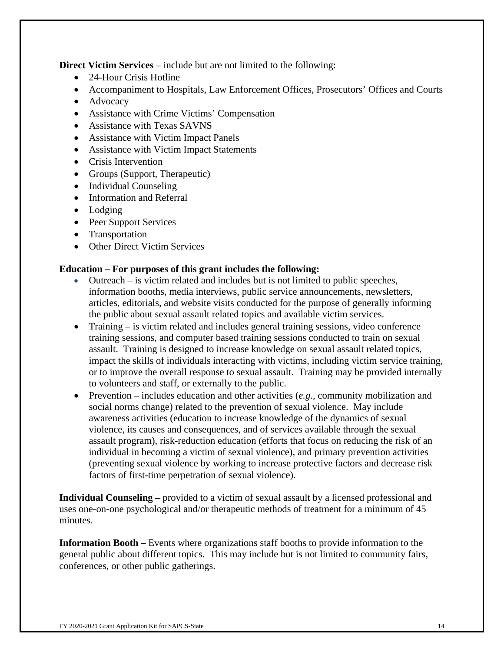**Direct Victim Services** – include but are not limited to the following:

- 24-Hour Crisis Hotline
- Accompaniment to Hospitals, Law Enforcement Offices, Prosecutors' Offices and Courts
- Advocacy
- Assistance with Crime Victims' Compensation
- Assistance with Texas SAVNS
- Assistance with Victim Impact Panels
- Assistance with Victim Impact Statements
- Crisis Intervention
- Groups (Support, Therapeutic)
- Individual Counseling
- Information and Referral
- Lodging
- Peer Support Services
- Transportation
- Other Direct Victim Services

### **Education – For purposes of this grant includes the following:**

- Outreach is victim related and includes but is not limited to public speeches, information booths, media interviews, public service announcements, newsletters, articles, editorials, and website visits conducted for the purpose of generally informing the public about sexual assault related topics and available victim services.
- Training is victim related and includes general training sessions, video conference training sessions, and computer based training sessions conducted to train on sexual assault. Training is designed to increase knowledge on sexual assault related topics, impact the skills of individuals interacting with victims, including victim service training, or to improve the overall response to sexual assault. Training may be provided internally to volunteers and staff, or externally to the public.
- Prevention includes education and other activities (*e.g.,* community mobilization and social norms change) related to the prevention of sexual violence. May include awareness activities (education to increase knowledge of the dynamics of sexual violence, its causes and consequences, and of services available through the sexual assault program), risk-reduction education (efforts that focus on reducing the risk of an individual in becoming a victim of sexual violence), and primary prevention activities (preventing sexual violence by working to increase protective factors and decrease risk factors of first-time perpetration of sexual violence).

**Individual Counseling –** provided to a victim of sexual assault by a licensed professional and uses one-on-one psychological and/or therapeutic methods of treatment for a minimum of 45 minutes.

**Information Booth** – Events where organizations staff booths to provide information to the general public about different topics. This may include but is not limited to community fairs, conferences, or other public gatherings.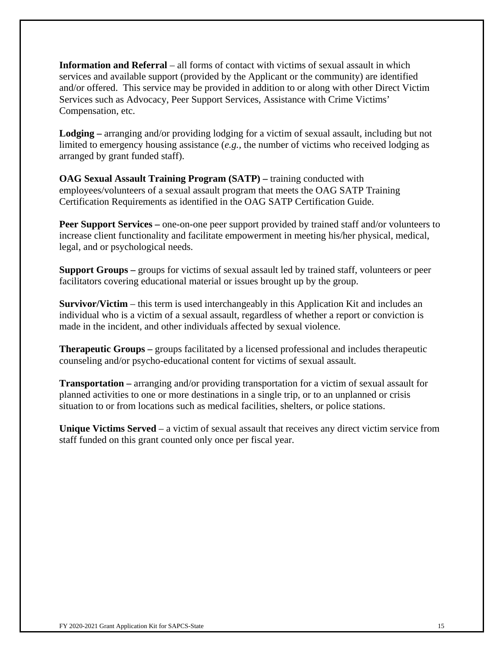**Information and Referral** – all forms of contact with victims of sexual assault in which services and available support (provided by the Applicant or the community) are identified and/or offered. This service may be provided in addition to or along with other Direct Victim Services such as Advocacy, Peer Support Services, Assistance with Crime Victims' Compensation, etc.

**Lodging –** arranging and/or providing lodging for a victim of sexual assault, including but not limited to emergency housing assistance (*e.g.,* the number of victims who received lodging as arranged by grant funded staff).

**OAG Sexual Assault Training Program (SATP)** – training conducted with employees/volunteers of a sexual assault program that meets the OAG SATP Training Certification Requirements as identified in the OAG SATP Certification Guide.

**Peer Support Services** – one-on-one peer support provided by trained staff and/or volunteers to increase client functionality and facilitate empowerment in meeting his/her physical, medical, legal, and or psychological needs.

**Support Groups –** groups for victims of sexual assault led by trained staff, volunteers or peer facilitators covering educational material or issues brought up by the group.

**Survivor/Victim** – this term is used interchangeably in this Application Kit and includes an individual who is a victim of a sexual assault, regardless of whether a report or conviction is made in the incident, and other individuals affected by sexual violence.

**Therapeutic Groups –** groups facilitated by a licensed professional and includes therapeutic counseling and/or psycho-educational content for victims of sexual assault.

**Transportation –** arranging and/or providing transportation for a victim of sexual assault for planned activities to one or more destinations in a single trip, or to an unplanned or crisis situation to or from locations such as medical facilities, shelters, or police stations.

**Unique Victims Served** – a victim of sexual assault that receives any direct victim service from staff funded on this grant counted only once per fiscal year.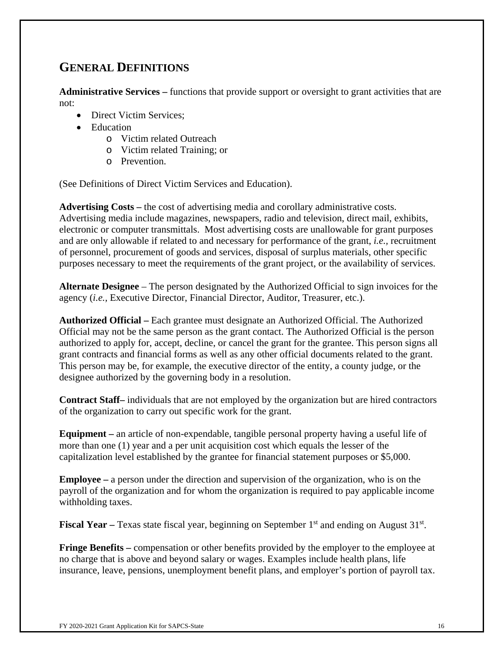# **GENERAL DEFINITIONS**

**Administrative Services –** functions that provide support or oversight to grant activities that are not:

- Direct Victim Services:
- Education
	- o Victim related Outreach
	- o Victim related Training; or
	- o Prevention.

(See Definitions of Direct Victim Services and Education).

**Advertising Costs –** the cost of advertising media and corollary administrative costs. Advertising media include magazines, newspapers, radio and television, direct mail, exhibits, electronic or computer transmittals. Most advertising costs are unallowable for grant purposes and are only allowable if related to and necessary for performance of the grant, *i.e.,* recruitment of personnel, procurement of goods and services, disposal of surplus materials, other specific purposes necessary to meet the requirements of the grant project, or the availability of services.

**Alternate Designee** – The person designated by the Authorized Official to sign invoices for the agency (*i.e.,* Executive Director, Financial Director, Auditor, Treasurer, etc.).

**Authorized Official –** Each grantee must designate an Authorized Official. The Authorized Official may not be the same person as the grant contact. The Authorized Official is the person authorized to apply for, accept, decline, or cancel the grant for the grantee. This person signs all grant contracts and financial forms as well as any other official documents related to the grant. This person may be, for example, the executive director of the entity, a county judge, or the designee authorized by the governing body in a resolution.

**Contract Staff–** individuals that are not employed by the organization but are hired contractors of the organization to carry out specific work for the grant.

**Equipment –** an article of non-expendable, tangible personal property having a useful life of more than one (1) year and a per unit acquisition cost which equals the lesser of the capitalization level established by the grantee for financial statement purposes or \$5,000.

**Employee –** a person under the direction and supervision of the organization, who is on the payroll of the organization and for whom the organization is required to pay applicable income withholding taxes.

**Fiscal Year –** Texas state fiscal year, beginning on September 1<sup>st</sup> and ending on August 31<sup>st</sup>.

**Fringe Benefits** – compensation or other benefits provided by the employer to the employee at no charge that is above and beyond salary or wages. Examples include health plans, life insurance, leave, pensions, unemployment benefit plans, and employer's portion of payroll tax.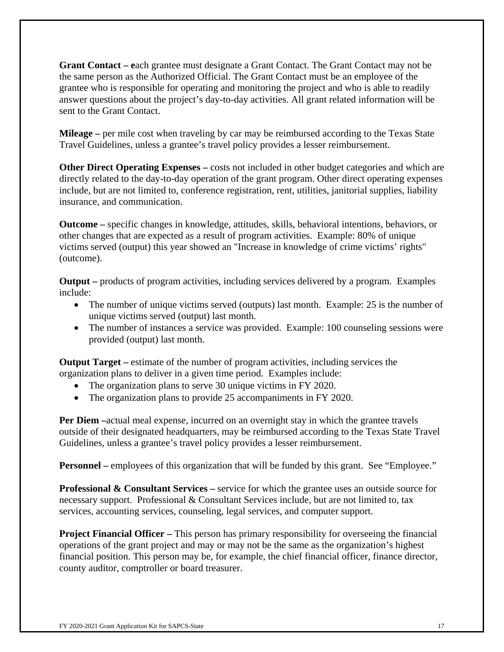**Grant Contact – e**ach grantee must designate a Grant Contact. The Grant Contact may not be the same person as the Authorized Official. The Grant Contact must be an employee of the grantee who is responsible for operating and monitoring the project and who is able to readily answer questions about the project's day-to-day activities. All grant related information will be sent to the Grant Contact.

**Mileage** – per mile cost when traveling by car may be reimbursed according to the Texas State Travel Guidelines, unless a grantee's travel policy provides a lesser reimbursement.

**Other Direct Operating Expenses** – costs not included in other budget categories and which are directly related to the day-to-day operation of the grant program. Other direct operating expenses include, but are not limited to, conference registration, rent, utilities, janitorial supplies, liability insurance, and communication.

**Outcome –** specific changes in knowledge, attitudes, skills, behavioral intentions, behaviors, or other changes that are expected as a result of program activities.Example: 80% of unique victims served (output) this year showed an "Increase in knowledge of crime victims' rights" (outcome).

**Output –** products of program activities, including services delivered by a program. Examples include:

- The number of unique victims served (outputs) last month. Example: 25 is the number of unique victims served (output) last month.
- The number of instances a service was provided. Example: 100 counseling sessions were provided (output) last month.

**Output Target –** estimate of the number of program activities, including services the organization plans to deliver in a given time period. Examples include:

- The organization plans to serve 30 unique victims in FY 2020.
- The organization plans to provide 25 accompaniments in FY 2020.

**Per Diem –**actual meal expense, incurred on an overnight stay in which the grantee travels outside of their designated headquarters, may be reimbursed according to the Texas State Travel Guidelines, unless a grantee's travel policy provides a lesser reimbursement.

**Personnel** – employees of this organization that will be funded by this grant. See "Employee."

**Professional & Consultant Services –** service for which the grantee uses an outside source for necessary support. Professional  $\&$  Consultant Services include, but are not limited to, tax services, accounting services, counseling, legal services, and computer support.

**Project Financial Officer** – This person has primary responsibility for overseeing the financial operations of the grant project and may or may not be the same as the organization's highest financial position. This person may be, for example, the chief financial officer, finance director, county auditor, comptroller or board treasurer.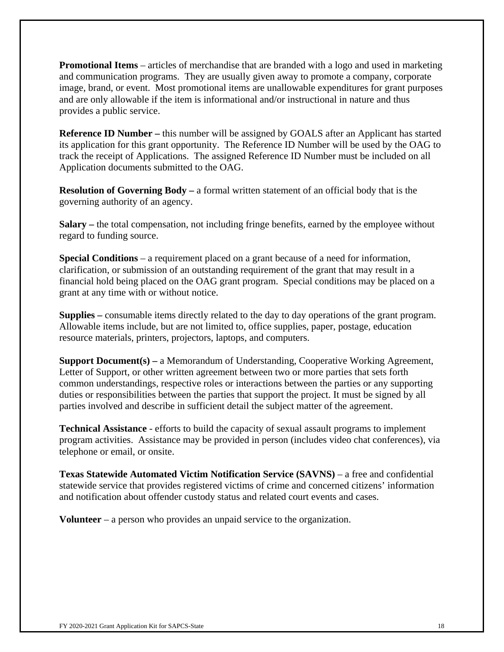**Promotional Items** – articles of merchandise that are branded with a logo and used in marketing and communication programs. They are usually given away to promote a company, corporate image, brand, or event. Most promotional items are unallowable expenditures for grant purposes and are only allowable if the item is informational and/or instructional in nature and thus provides a public service.

**Reference ID Number – this number will be assigned by GOALS after an Applicant has started** its application for this grant opportunity. The Reference ID Number will be used by the OAG to track the receipt of Applications. The assigned Reference ID Number must be included on all Application documents submitted to the OAG.

**Resolution of Governing Body –** a formal written statement of an official body that is the governing authority of an agency.

**Salary –** the total compensation, not including fringe benefits, earned by the employee without regard to funding source.

**Special Conditions** – a requirement placed on a grant because of a need for information, clarification, or submission of an outstanding requirement of the grant that may result in a financial hold being placed on the OAG grant program. Special conditions may be placed on a grant at any time with or without notice.

**Supplies –** consumable items directly related to the day to day operations of the grant program. Allowable items include, but are not limited to, office supplies, paper, postage, education resource materials, printers, projectors, laptops, and computers.

**Support Document(s) –** a Memorandum of Understanding, Cooperative Working Agreement, Letter of Support, or other written agreement between two or more parties that sets forth common understandings, respective roles or interactions between the parties or any supporting duties or responsibilities between the parties that support the project. It must be signed by all parties involved and describe in sufficient detail the subject matter of the agreement.

**Technical Assistance** - efforts to build the capacity of sexual assault programs to implement program activities. Assistance may be provided in person (includes video chat conferences), via telephone or email, or onsite.

**Texas Statewide Automated Victim Notification Service (SAVNS)** – a free and confidential statewide service that provides registered victims of crime and concerned citizens' information and notification about offender custody status and related court events and cases.

**Volunteer** – a person who provides an unpaid service to the organization.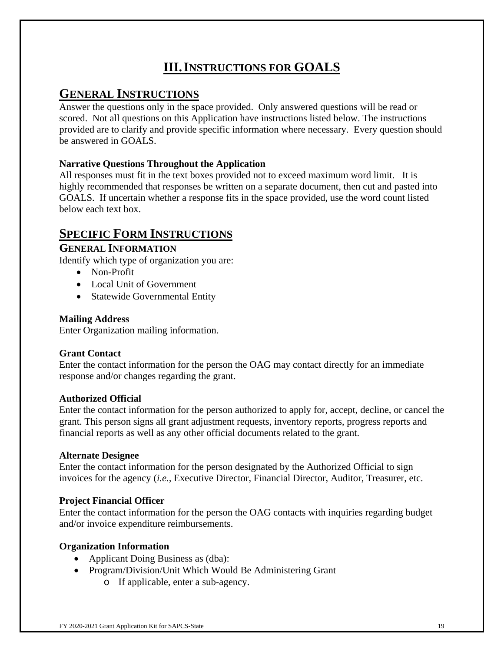# **III.INSTRUCTIONS FOR GOALS**

# **GENERAL INSTRUCTIONS**

Answer the questions only in the space provided. Only answered questions will be read or scored. Not all questions on this Application have instructions listed below. The instructions provided are to clarify and provide specific information where necessary. Every question should be answered in GOALS.

## **Narrative Questions Throughout the Application**

All responses must fit in the text boxes provided not to exceed maximum word limit. It is highly recommended that responses be written on a separate document, then cut and pasted into GOALS. If uncertain whether a response fits in the space provided, use the word count listed below each text box.

# **SPECIFIC FORM INSTRUCTIONS**

## **GENERAL INFORMATION**

Identify which type of organization you are:

- Non-Profit
- Local Unit of Government
- Statewide Governmental Entity

## **Mailing Address**

Enter Organization mailing information.

## **Grant Contact**

Enter the contact information for the person the OAG may contact directly for an immediate response and/or changes regarding the grant.

### **Authorized Official**

Enter the contact information for the person authorized to apply for, accept, decline, or cancel the grant. This person signs all grant adjustment requests, inventory reports, progress reports and financial reports as well as any other official documents related to the grant.

### **Alternate Designee**

Enter the contact information for the person designated by the Authorized Official to sign invoices for the agency (*i.e.,* Executive Director, Financial Director, Auditor, Treasurer, etc.

## **Project Financial Officer**

Enter the contact information for the person the OAG contacts with inquiries regarding budget and/or invoice expenditure reimbursements.

## **Organization Information**

- Applicant Doing Business as (dba):
- Program/Division/Unit Which Would Be Administering Grant
	- o If applicable, enter a sub-agency.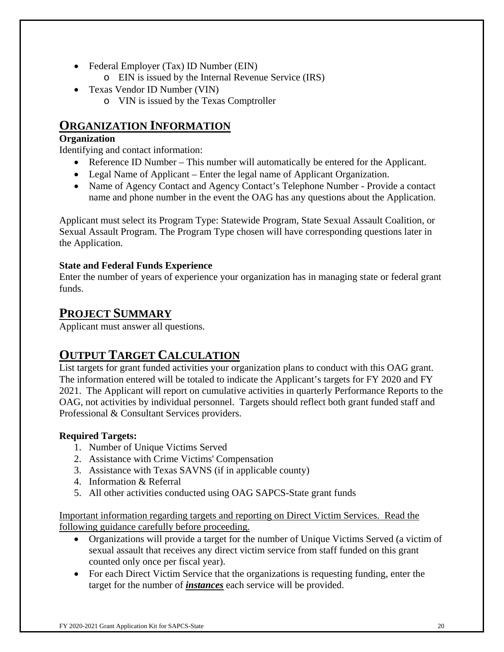- Federal Employer (Tax) ID Number (EIN)
	- o EIN is issued by the Internal Revenue Service (IRS)
- Texas Vendor ID Number (VIN)
	- o VIN is issued by the Texas Comptroller

# **ORGANIZATION INFORMATION**

### **Organization**

Identifying and contact information:

- Reference ID Number This number will automatically be entered for the Applicant.
- Legal Name of Applicant Enter the legal name of Applicant Organization.
- Name of Agency Contact and Agency Contact's Telephone Number Provide a contact name and phone number in the event the OAG has any questions about the Application.

Applicant must select its Program Type: Statewide Program, State Sexual Assault Coalition, or Sexual Assault Program. The Program Type chosen will have corresponding questions later in the Application.

## **State and Federal Funds Experience**

Enter the number of years of experience your organization has in managing state or federal grant funds.

# **PROJECT SUMMARY**

Applicant must answer all questions.

# **OUTPUT TARGET CALCULATION**

List targets for grant funded activities your organization plans to conduct with this OAG grant. The information entered will be totaled to indicate the Applicant's targets for FY 2020 and FY 2021. The Applicant will report on cumulative activities in quarterly Performance Reports to the OAG, not activities by individual personnel. Targets should reflect both grant funded staff and Professional & Consultant Services providers.

### **Required Targets:**

- 1. Number of Unique Victims Served
- 2. Assistance with Crime Victims' Compensation
- 3. Assistance with Texas SAVNS (if in applicable county)
- 4. Information & Referral
- 5. All other activities conducted using OAG SAPCS-State grant funds

Important information regarding targets and reporting on Direct Victim Services. Read the following guidance carefully before proceeding.

- Organizations will provide a target for the number of Unique Victims Served (a victim of sexual assault that receives any direct victim service from staff funded on this grant counted only once per fiscal year).
- For each Direct Victim Service that the organizations is requesting funding, enter the target for the number of *instances* each service will be provided.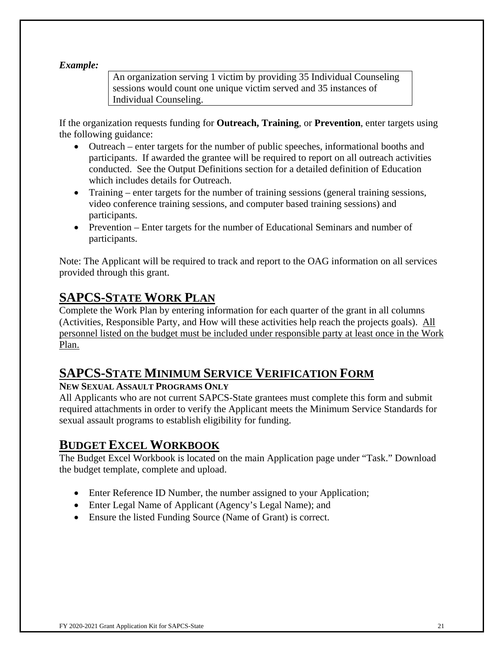### *Example:*

An organization serving 1 victim by providing 35 Individual Counseling sessions would count one unique victim served and 35 instances of Individual Counseling.

If the organization requests funding for **Outreach, Training**, or **Prevention**, enter targets using the following guidance:

- Outreach enter targets for the number of public speeches, informational booths and participants. If awarded the grantee will be required to report on all outreach activities conducted. See the Output Definitions section for a detailed definition of Education which includes details for Outreach.
- Training enter targets for the number of training sessions (general training sessions, video conference training sessions, and computer based training sessions) and participants.
- Prevention Enter targets for the number of Educational Seminars and number of participants.

Note: The Applicant will be required to track and report to the OAG information on all services provided through this grant.

# **SAPCS-STATE WORK PLAN**

Complete the Work Plan by entering information for each quarter of the grant in all columns (Activities, Responsible Party, and How will these activities help reach the projects goals). All personnel listed on the budget must be included under responsible party at least once in the Work Plan.

# **SAPCS-STATE MINIMUM SERVICE VERIFICATION FORM**

### **NEW SEXUAL ASSAULT PROGRAMS ONLY**

All Applicants who are not current SAPCS-State grantees must complete this form and submit required attachments in order to verify the Applicant meets the Minimum Service Standards for sexual assault programs to establish eligibility for funding.

# **BUDGET EXCEL WORKBOOK**

The Budget Excel Workbook is located on the main Application page under "Task." Download the budget template, complete and upload.

- Enter Reference ID Number, the number assigned to your Application;
- Enter Legal Name of Applicant (Agency's Legal Name); and
- Ensure the listed Funding Source (Name of Grant) is correct.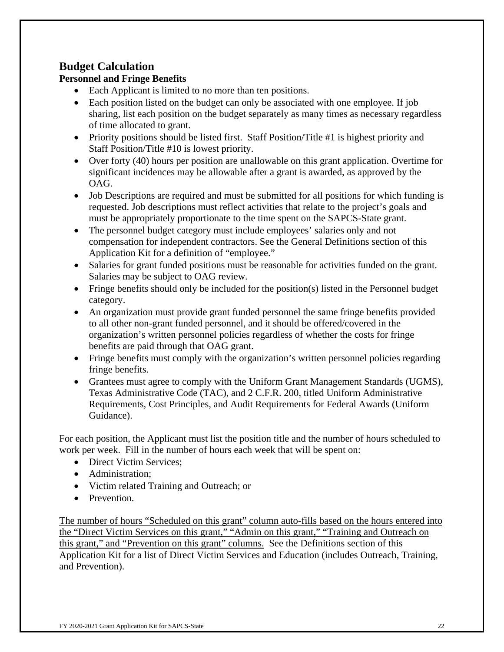# **Budget Calculation**

## **Personnel and Fringe Benefits**

- Each Applicant is limited to no more than ten positions.
- Each position listed on the budget can only be associated with one employee. If job sharing, list each position on the budget separately as many times as necessary regardless of time allocated to grant.
- Priority positions should be listed first. Staff Position/Title #1 is highest priority and Staff Position/Title #10 is lowest priority.
- Over forty (40) hours per position are unallowable on this grant application. Overtime for significant incidences may be allowable after a grant is awarded, as approved by the OAG.
- Job Descriptions are required and must be submitted for all positions for which funding is requested. Job descriptions must reflect activities that relate to the project's goals and must be appropriately proportionate to the time spent on the SAPCS-State grant.
- The personnel budget category must include employees' salaries only and not compensation for independent contractors. See the General Definitions section of this Application Kit for a definition of "employee."
- Salaries for grant funded positions must be reasonable for activities funded on the grant. Salaries may be subject to OAG review.
- Fringe benefits should only be included for the position(s) listed in the Personnel budget category.
- An organization must provide grant funded personnel the same fringe benefits provided to all other non-grant funded personnel, and it should be offered/covered in the organization's written personnel policies regardless of whether the costs for fringe benefits are paid through that OAG grant.
- Fringe benefits must comply with the organization's written personnel policies regarding fringe benefits.
- Grantees must agree to comply with the Uniform Grant Management Standards (UGMS), Texas Administrative Code (TAC), and 2 C.F.R. 200, titled Uniform Administrative Requirements, Cost Principles, and Audit Requirements for Federal Awards (Uniform Guidance).

For each position, the Applicant must list the position title and the number of hours scheduled to work per week. Fill in the number of hours each week that will be spent on:

- Direct Victim Services:
- Administration:
- Victim related Training and Outreach; or
- Prevention.

The number of hours "Scheduled on this grant" column auto-fills based on the hours entered into the "Direct Victim Services on this grant," "Admin on this grant," "Training and Outreach on this grant," and "Prevention on this grant" columns. See the Definitions section of this Application Kit for a list of Direct Victim Services and Education (includes Outreach, Training, and Prevention).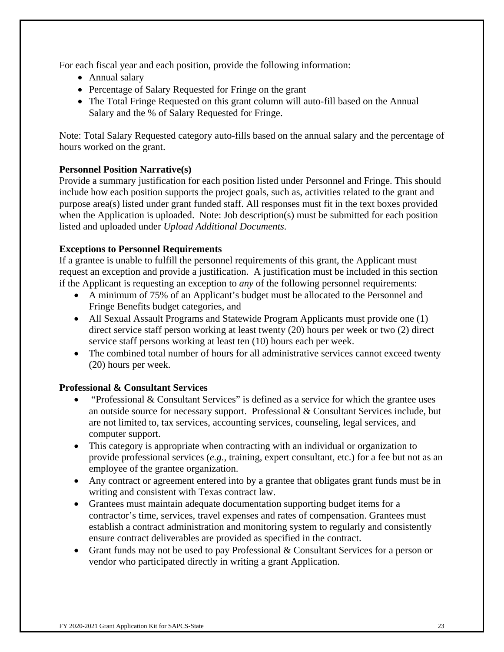For each fiscal year and each position, provide the following information:

- Annual salary
- Percentage of Salary Requested for Fringe on the grant
- The Total Fringe Requested on this grant column will auto-fill based on the Annual Salary and the % of Salary Requested for Fringe.

Note: Total Salary Requested category auto-fills based on the annual salary and the percentage of hours worked on the grant.

## **Personnel Position Narrative(s)**

Provide a summary justification for each position listed under Personnel and Fringe. This should include how each position supports the project goals, such as, activities related to the grant and purpose area(s) listed under grant funded staff. All responses must fit in the text boxes provided when the Application is uploaded. Note: Job description(s) must be submitted for each position listed and uploaded under *Upload Additional Documents*.

## **Exceptions to Personnel Requirements**

If a grantee is unable to fulfill the personnel requirements of this grant, the Applicant must request an exception and provide a justification. A justification must be included in this section if the Applicant is requesting an exception to *any* of the following personnel requirements:

- A minimum of 75% of an Applicant's budget must be allocated to the Personnel and Fringe Benefits budget categories, and
- All Sexual Assault Programs and Statewide Program Applicants must provide one (1) direct service staff person working at least twenty (20) hours per week or two (2) direct service staff persons working at least ten (10) hours each per week.
- The combined total number of hours for all administrative services cannot exceed twenty (20) hours per week.

### **Professional & Consultant Services**

- "Professional & Consultant Services" is defined as a service for which the grantee uses an outside source for necessary support. Professional & Consultant Services include, but are not limited to, tax services, accounting services, counseling, legal services, and computer support.
- This category is appropriate when contracting with an individual or organization to provide professional services (*e.g.,* training, expert consultant, etc.) for a fee but not as an employee of the grantee organization.
- Any contract or agreement entered into by a grantee that obligates grant funds must be in writing and consistent with Texas contract law.
- Grantees must maintain adequate documentation supporting budget items for a contractor's time, services, travel expenses and rates of compensation. Grantees must establish a contract administration and monitoring system to regularly and consistently ensure contract deliverables are provided as specified in the contract.
- Grant funds may not be used to pay Professional & Consultant Services for a person or vendor who participated directly in writing a grant Application.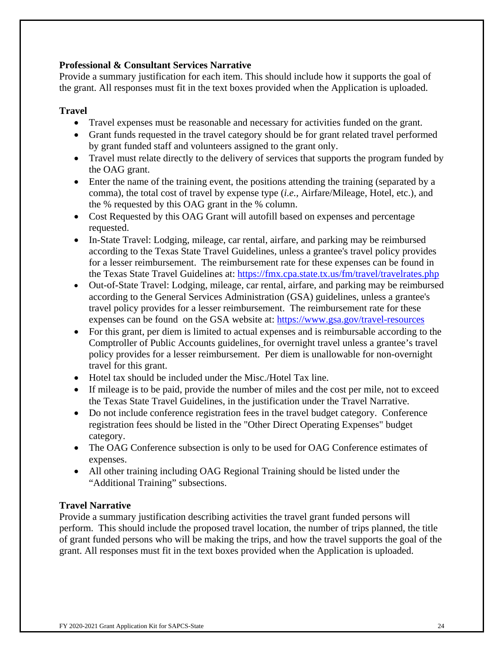### **Professional & Consultant Services Narrative**

Provide a summary justification for each item. This should include how it supports the goal of the grant. All responses must fit in the text boxes provided when the Application is uploaded.

### **Travel**

- Travel expenses must be reasonable and necessary for activities funded on the grant.
- Grant funds requested in the travel category should be for grant related travel performed by grant funded staff and volunteers assigned to the grant only.
- Travel must relate directly to the delivery of services that supports the program funded by the OAG grant.
- Enter the name of the training event, the positions attending the training (separated by a comma), the total cost of travel by expense type (*i.e.,* Airfare/Mileage, Hotel, etc.), and the % requested by this OAG grant in the % column.
- Cost Requested by this OAG Grant will autofill based on expenses and percentage requested.
- In-State Travel: Lodging, mileage, car rental, airfare, and parking may be reimbursed according to the Texas State Travel Guidelines, unless a grantee's travel policy provides for a lesser reimbursement. The reimbursement rate for these expenses can be found in the Texas State Travel Guidelines at: https://fmx.cpa.state.tx.us/fm/travel/travelrates.php
- Out-of-State Travel: Lodging, mileage, car rental, airfare, and parking may be reimbursed according to the General Services Administration (GSA) guidelines, unless a grantee's travel policy provides for a lesser reimbursement. The reimbursement rate for these expenses can be found on the GSA website at: https://www.gsa.gov/travel-resources
- For this grant, per diem is limited to actual expenses and is reimbursable according to the Comptroller of Public Accounts guidelines, for overnight travel unless a grantee's travel policy provides for a lesser reimbursement. Per diem is unallowable for non-overnight travel for this grant.
- Hotel tax should be included under the Misc./Hotel Tax line.
- If mileage is to be paid, provide the number of miles and the cost per mile, not to exceed the Texas State Travel Guidelines, in the justification under the Travel Narrative.
- Do not include conference registration fees in the travel budget category. Conference registration fees should be listed in the "Other Direct Operating Expenses" budget category.
- The OAG Conference subsection is only to be used for OAG Conference estimates of expenses.
- All other training including OAG Regional Training should be listed under the "Additional Training" subsections.

### **Travel Narrative**

Provide a summary justification describing activities the travel grant funded persons will perform. This should include the proposed travel location, the number of trips planned, the title of grant funded persons who will be making the trips, and how the travel supports the goal of the grant. All responses must fit in the text boxes provided when the Application is uploaded.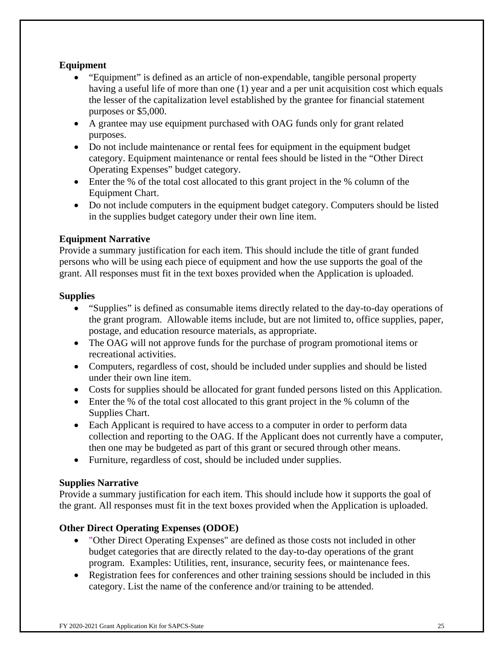## **Equipment**

- "Equipment" is defined as an article of non-expendable, tangible personal property having a useful life of more than one (1) year and a per unit acquisition cost which equals the lesser of the capitalization level established by the grantee for financial statement purposes or \$5,000.
- A grantee may use equipment purchased with OAG funds only for grant related purposes.
- Do not include maintenance or rental fees for equipment in the equipment budget category. Equipment maintenance or rental fees should be listed in the "Other Direct Operating Expenses" budget category.
- Enter the % of the total cost allocated to this grant project in the % column of the Equipment Chart.
- Do not include computers in the equipment budget category. Computers should be listed in the supplies budget category under their own line item.

## **Equipment Narrative**

Provide a summary justification for each item. This should include the title of grant funded persons who will be using each piece of equipment and how the use supports the goal of the grant. All responses must fit in the text boxes provided when the Application is uploaded.

### **Supplies**

- "Supplies" is defined as consumable items directly related to the day-to-day operations of the grant program. Allowable items include, but are not limited to, office supplies, paper, postage, and education resource materials, as appropriate.
- The OAG will not approve funds for the purchase of program promotional items or recreational activities.
- Computers, regardless of cost, should be included under supplies and should be listed under their own line item.
- Costs for supplies should be allocated for grant funded persons listed on this Application.
- Enter the % of the total cost allocated to this grant project in the % column of the Supplies Chart.
- Each Applicant is required to have access to a computer in order to perform data collection and reporting to the OAG. If the Applicant does not currently have a computer, then one may be budgeted as part of this grant or secured through other means.
- Furniture, regardless of cost, should be included under supplies.

### **Supplies Narrative**

Provide a summary justification for each item. This should include how it supports the goal of the grant. All responses must fit in the text boxes provided when the Application is uploaded.

### **Other Direct Operating Expenses (ODOE)**

- "Other Direct Operating Expenses" are defined as those costs not included in other budget categories that are directly related to the day-to-day operations of the grant program. Examples: Utilities, rent, insurance, security fees, or maintenance fees.
- Registration fees for conferences and other training sessions should be included in this category. List the name of the conference and/or training to be attended.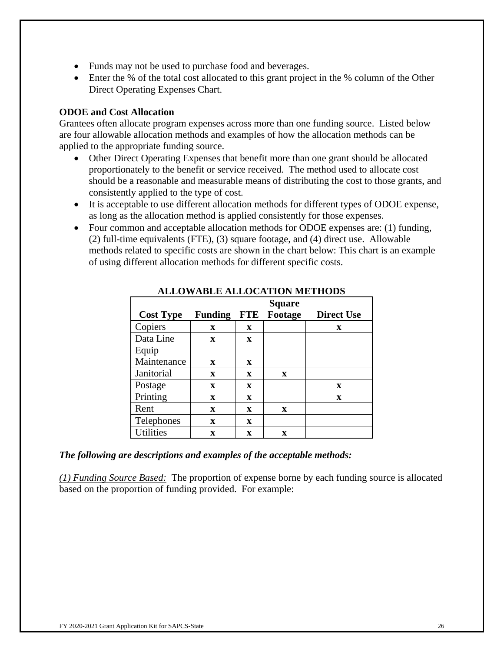- Funds may not be used to purchase food and beverages.
- Enter the % of the total cost allocated to this grant project in the % column of the Other Direct Operating Expenses Chart.

### **ODOE and Cost Allocation**

Grantees often allocate program expenses across more than one funding source. Listed below are four allowable allocation methods and examples of how the allocation methods can be applied to the appropriate funding source.

- Other Direct Operating Expenses that benefit more than one grant should be allocated proportionately to the benefit or service received. The method used to allocate cost should be a reasonable and measurable means of distributing the cost to those grants, and consistently applied to the type of cost.
- It is acceptable to use different allocation methods for different types of ODOE expense, as long as the allocation method is applied consistently for those expenses.
- Four common and acceptable allocation methods for ODOE expenses are: (1) funding, (2) full-time equivalents (FTE), (3) square footage, and (4) direct use. Allowable methods related to specific costs are shown in the chart below: This chart is an example of using different allocation methods for different specific costs.

|                  |                |            | <b>Square</b> |                   |
|------------------|----------------|------------|---------------|-------------------|
| <b>Cost Type</b> | <b>Funding</b> | <b>FTE</b> | Footage       | <b>Direct Use</b> |
| Copiers          | X              | X          |               | X                 |
| Data Line        | X              | X          |               |                   |
| Equip            |                |            |               |                   |
| Maintenance      | X              | X          |               |                   |
| Janitorial       | $\mathbf x$    | X          | X             |                   |
| Postage          | X              | X          |               | X                 |
| Printing         | $\mathbf x$    | X          |               | $\mathbf x$       |
| Rent             | $\mathbf x$    | X          | X             |                   |
| Telephones       | X              | X          |               |                   |
| <b>Utilities</b> | X              | X          | X             |                   |

### **ALLOWABLE ALLOCATION METHODS**

#### *The following are descriptions and examples of the acceptable methods:*

*(1) Funding Source Based:* The proportion of expense borne by each funding source is allocated based on the proportion of funding provided. For example: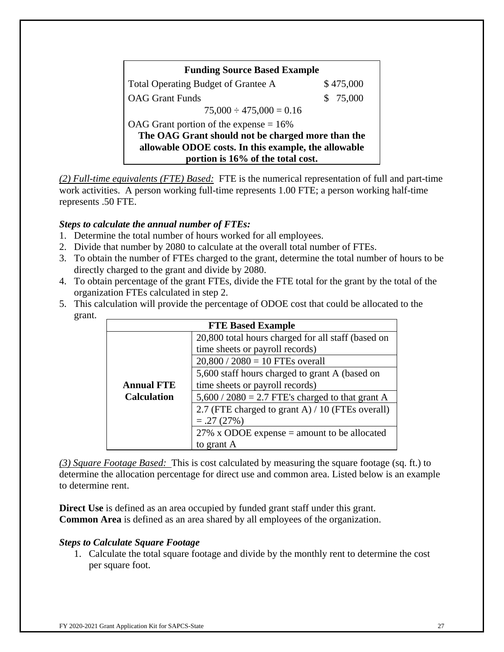| <b>Funding Source Based Example</b>                  |           |  |
|------------------------------------------------------|-----------|--|
| Total Operating Budget of Grantee A                  | \$475,000 |  |
| <b>OAG</b> Grant Funds                               | \$75,000  |  |
| $75,000 \div 475,000 = 0.16$                         |           |  |
| OAG Grant portion of the expense $= 16\%$            |           |  |
| The OAG Grant should not be charged more than the    |           |  |
| allowable ODOE costs. In this example, the allowable |           |  |
| portion is 16% of the total cost.                    |           |  |

*(2) Full-time equivalents (FTE) Based:* FTE is the numerical representation of full and part-time work activities. A person working full-time represents 1.00 FTE; a person working half-time represents .50 FTE.

### *Steps to calculate the annual number of FTEs:*

- 1. Determine the total number of hours worked for all employees.
- 2. Divide that number by 2080 to calculate at the overall total number of FTEs.
- 3. To obtain the number of FTEs charged to the grant, determine the total number of hours to be directly charged to the grant and divide by 2080.
- 4. To obtain percentage of the grant FTEs, divide the FTE total for the grant by the total of the organization FTEs calculated in step 2.
- 5. This calculation will provide the percentage of ODOE cost that could be allocated to the grant.

| <b>FTE Based Example</b> |                                                    |  |  |  |
|--------------------------|----------------------------------------------------|--|--|--|
|                          | 20,800 total hours charged for all staff (based on |  |  |  |
|                          | time sheets or payroll records)                    |  |  |  |
|                          | $20,800 / 2080 = 10$ FTEs overall                  |  |  |  |
|                          | 5,600 staff hours charged to grant A (based on     |  |  |  |
| <b>Annual FTE</b>        | time sheets or payroll records)                    |  |  |  |
| <b>Calculation</b>       | $5,600 / 2080 = 2.7$ FTE's charged to that grant A |  |  |  |
|                          | 2.7 (FTE charged to grant A) / 10 (FTEs overall)   |  |  |  |
|                          | $=.27(27%)$                                        |  |  |  |
|                          | 27% x ODOE expense $=$ amount to be allocated      |  |  |  |
|                          | to grant A                                         |  |  |  |

*(3) Square Footage Based:* This is cost calculated by measuring the square footage (sq. ft.) to determine the allocation percentage for direct use and common area. Listed below is an example to determine rent.

**Direct Use** is defined as an area occupied by funded grant staff under this grant. **Common Area** is defined as an area shared by all employees of the organization.

### *Steps to Calculate Square Footage*

1. Calculate the total square footage and divide by the monthly rent to determine the cost per square foot.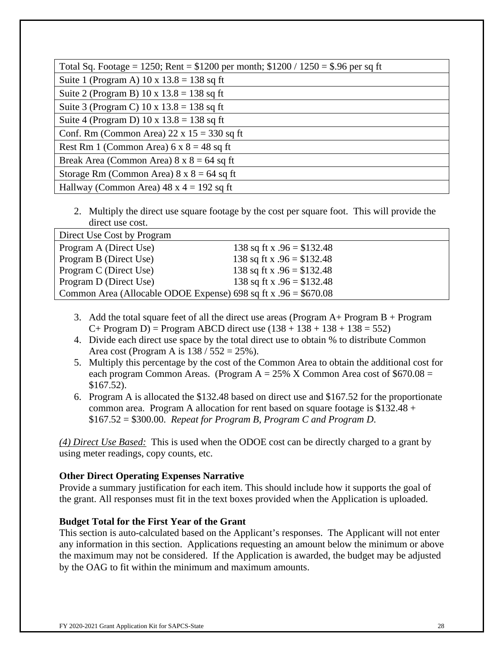| Total Sq. Footage = 1250; Rent = $$1200$ per month; $$1200 / 1250 = $.96$ per sq ft |
|-------------------------------------------------------------------------------------|
| Suite 1 (Program A) $10 \times 13.8 = 138$ sq ft                                    |
| Suite 2 (Program B) $10 \times 13.8 = 138$ sq ft                                    |
| Suite 3 (Program C) $10 \times 13.8 = 138$ sq ft                                    |
| Suite 4 (Program D) 10 x $13.8 = 138$ sq ft                                         |
| Conf. Rm (Common Area) $22 \times 15 = 330$ sq ft                                   |
| Rest Rm 1 (Common Area) $6 \times 8 = 48$ sq ft                                     |
| Break Area (Common Area) $8 \times 8 = 64$ sq ft                                    |
| Storage Rm (Common Area) $8 \times 8 = 64$ sq ft                                    |
| Hallway (Common Area) $48 \times 4 = 192$ sq ft                                     |

2. Multiply the direct use square footage by the cost per square foot. This will provide the direct use cost.

| Direct Use Cost by Program                                       |                             |  |
|------------------------------------------------------------------|-----------------------------|--|
| Program A (Direct Use)                                           | 138 sq ft x $.96 = $132.48$ |  |
| Program B (Direct Use)                                           | 138 sq ft x $.96 = $132.48$ |  |
| Program C (Direct Use)                                           | 138 sq ft x $.96 = $132.48$ |  |
| Program D (Direct Use)                                           | 138 sq ft x $.96 = $132.48$ |  |
| Common Area (Allocable ODOE Expense) 698 sq ft x $.96 = $670.08$ |                             |  |

- 3. Add the total square feet of all the direct use areas (Program  $A+$  Program  $B+$  Program  $C+$  Program D) = Program ABCD direct use  $(138 + 138 + 138 + 138 = 552)$
- 4. Divide each direct use space by the total direct use to obtain % to distribute Common Area cost (Program A is  $138 / 552 = 25\%$ ).
- 5. Multiply this percentage by the cost of the Common Area to obtain the additional cost for each program Common Areas. (Program  $A = 25\%$  X Common Area cost of \$670.08 = \$167.52).
- 6. Program A is allocated the \$132.48 based on direct use and \$167.52 for the proportionate common area. Program A allocation for rent based on square footage is \$132.48 + \$167.52 = \$300.00. *Repeat for Program B, Program C and Program D*.

*(4) Direct Use Based:* This is used when the ODOE cost can be directly charged to a grant by using meter readings, copy counts, etc.

### **Other Direct Operating Expenses Narrative**

Provide a summary justification for each item. This should include how it supports the goal of the grant. All responses must fit in the text boxes provided when the Application is uploaded.

### **Budget Total for the First Year of the Grant**

This section is auto-calculated based on the Applicant's responses. The Applicant will not enter any information in this section. Applications requesting an amount below the minimum or above the maximum may not be considered. If the Application is awarded, the budget may be adjusted by the OAG to fit within the minimum and maximum amounts.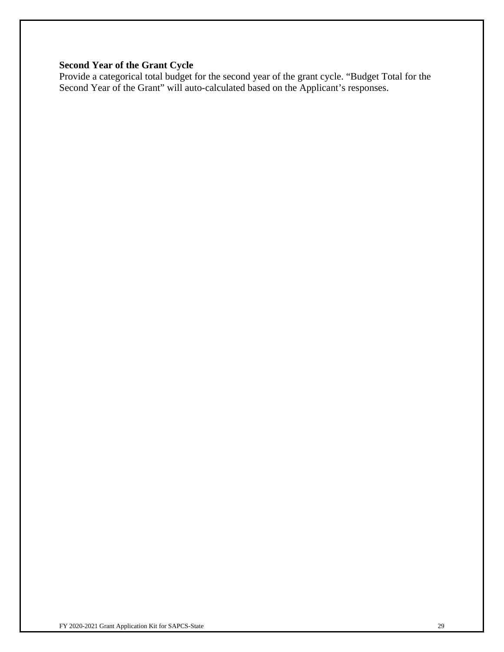## **Second Year of the Grant Cycle**

Provide a categorical total budget for the second year of the grant cycle. "Budget Total for the Second Year of the Grant" will auto-calculated based on the Applicant's responses.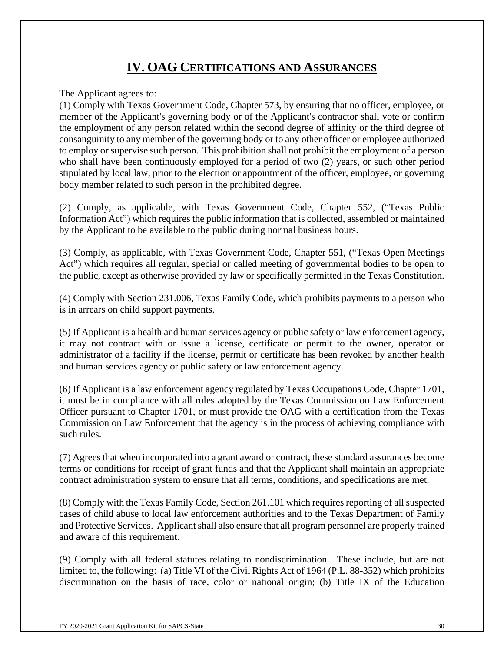# **IV. OAG CERTIFICATIONS AND ASSURANCES**

The Applicant agrees to:

(1) Comply with Texas Government Code, Chapter 573, by ensuring that no officer, employee, or member of the Applicant's governing body or of the Applicant's contractor shall vote or confirm the employment of any person related within the second degree of affinity or the third degree of consanguinity to any member of the governing body or to any other officer or employee authorized to employ or supervise such person. This prohibition shall not prohibit the employment of a person who shall have been continuously employed for a period of two (2) years, or such other period stipulated by local law, prior to the election or appointment of the officer, employee, or governing body member related to such person in the prohibited degree.

(2) Comply, as applicable, with Texas Government Code, Chapter 552, ("Texas Public Information Act") which requires the public information that is collected, assembled or maintained by the Applicant to be available to the public during normal business hours.

(3) Comply, as applicable, with Texas Government Code, Chapter 551, ("Texas Open Meetings Act") which requires all regular, special or called meeting of governmental bodies to be open to the public, except as otherwise provided by law or specifically permitted in the Texas Constitution.

(4) Comply with Section 231.006, Texas Family Code, which prohibits payments to a person who is in arrears on child support payments.

(5) If Applicant is a health and human services agency or public safety or law enforcement agency, it may not contract with or issue a license, certificate or permit to the owner, operator or administrator of a facility if the license, permit or certificate has been revoked by another health and human services agency or public safety or law enforcement agency.

(6) If Applicant is a law enforcement agency regulated by Texas Occupations Code, Chapter 1701, it must be in compliance with all rules adopted by the Texas Commission on Law Enforcement Officer pursuant to Chapter 1701, or must provide the OAG with a certification from the Texas Commission on Law Enforcement that the agency is in the process of achieving compliance with such rules.

(7) Agrees that when incorporated into a grant award or contract, these standard assurances become terms or conditions for receipt of grant funds and that the Applicant shall maintain an appropriate contract administration system to ensure that all terms, conditions, and specifications are met.

(8) Comply with the Texas Family Code, Section 261.101 which requires reporting of all suspected cases of child abuse to local law enforcement authorities and to the Texas Department of Family and Protective Services. Applicant shall also ensure that all program personnel are properly trained and aware of this requirement.

(9) Comply with all federal statutes relating to nondiscrimination. These include, but are not limited to, the following: (a) Title VI of the Civil Rights Act of 1964 (P.L. 88-352) which prohibits discrimination on the basis of race, color or national origin; (b) Title IX of the Education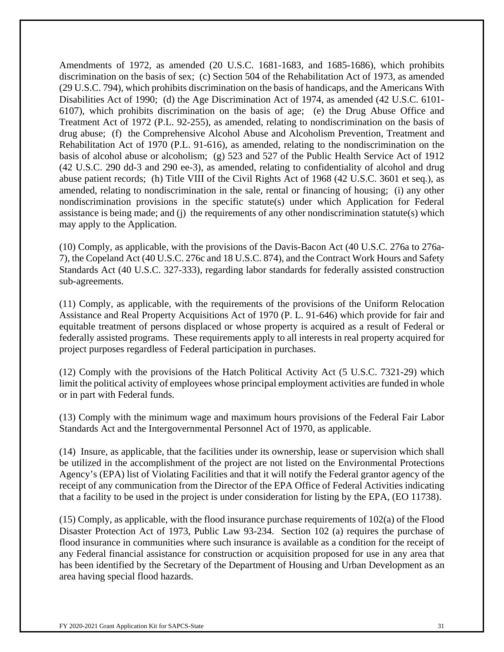Amendments of 1972, as amended (20 U.S.C. 1681-1683, and 1685-1686), which prohibits discrimination on the basis of sex; (c) Section 504 of the Rehabilitation Act of 1973, as amended (29 U.S.C. 794), which prohibits discrimination on the basis of handicaps, and the Americans With Disabilities Act of 1990; (d) the Age Discrimination Act of 1974, as amended (42 U.S.C. 6101- 6107), which prohibits discrimination on the basis of age; (e) the Drug Abuse Office and Treatment Act of 1972 (P.L. 92-255), as amended, relating to nondiscrimination on the basis of drug abuse; (f) the Comprehensive Alcohol Abuse and Alcoholism Prevention, Treatment and Rehabilitation Act of 1970 (P.L. 91-616), as amended, relating to the nondiscrimination on the basis of alcohol abuse or alcoholism; (g) 523 and 527 of the Public Health Service Act of 1912 (42 U.S.C. 290 dd-3 and 290 ee-3), as amended, relating to confidentiality of alcohol and drug abuse patient records; (h) Title VIII of the Civil Rights Act of 1968 (42 U.S.C. 3601 et seq.), as amended, relating to nondiscrimination in the sale, rental or financing of housing; (i) any other nondiscrimination provisions in the specific statute(s) under which Application for Federal assistance is being made; and (j) the requirements of any other nondiscrimination statute(s) which may apply to the Application.

(10) Comply, as applicable, with the provisions of the Davis-Bacon Act (40 U.S.C. 276a to 276a-7), the Copeland Act (40 U.S.C. 276c and 18 U.S.C. 874), and the Contract Work Hours and Safety Standards Act (40 U.S.C. 327-333), regarding labor standards for federally assisted construction sub-agreements.

(11) Comply, as applicable, with the requirements of the provisions of the Uniform Relocation Assistance and Real Property Acquisitions Act of 1970 (P. L. 91-646) which provide for fair and equitable treatment of persons displaced or whose property is acquired as a result of Federal or federally assisted programs. These requirements apply to all interests in real property acquired for project purposes regardless of Federal participation in purchases.

(12) Comply with the provisions of the Hatch Political Activity Act (5 U.S.C. 7321-29) which limit the political activity of employees whose principal employment activities are funded in whole or in part with Federal funds.

(13) Comply with the minimum wage and maximum hours provisions of the Federal Fair Labor Standards Act and the Intergovernmental Personnel Act of 1970, as applicable.

(14) Insure, as applicable, that the facilities under its ownership, lease or supervision which shall be utilized in the accomplishment of the project are not listed on the Environmental Protections Agency's (EPA) list of Violating Facilities and that it will notify the Federal grantor agency of the receipt of any communication from the Director of the EPA Office of Federal Activities indicating that a facility to be used in the project is under consideration for listing by the EPA, (EO 11738).

(15) Comply, as applicable, with the flood insurance purchase requirements of 102(a) of the Flood Disaster Protection Act of 1973, Public Law 93-234. Section 102 (a) requires the purchase of flood insurance in communities where such insurance is available as a condition for the receipt of any Federal financial assistance for construction or acquisition proposed for use in any area that has been identified by the Secretary of the Department of Housing and Urban Development as an area having special flood hazards.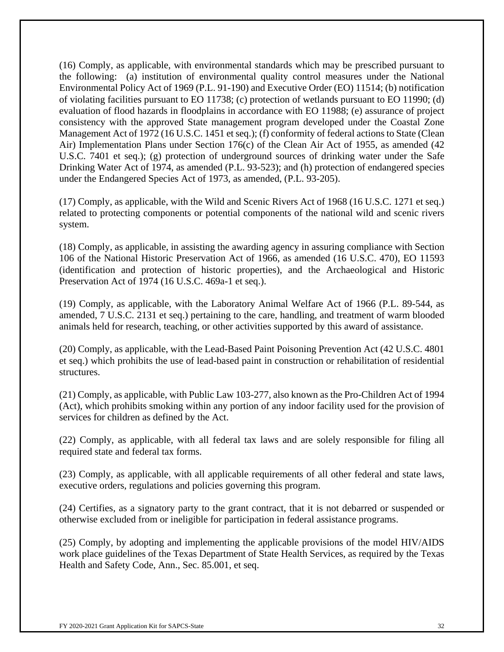(16) Comply, as applicable, with environmental standards which may be prescribed pursuant to the following: (a) institution of environmental quality control measures under the National Environmental Policy Act of 1969 (P.L. 91-190) and Executive Order (EO) 11514; (b) notification of violating facilities pursuant to EO 11738; (c) protection of wetlands pursuant to EO 11990; (d) evaluation of flood hazards in floodplains in accordance with EO 11988; (e) assurance of project consistency with the approved State management program developed under the Coastal Zone Management Act of 1972 (16 U.S.C. 1451 et seq.); (f) conformity of federal actions to State (Clean Air) Implementation Plans under Section 176(c) of the Clean Air Act of 1955, as amended (42 U.S.C. 7401 et seq.); (g) protection of underground sources of drinking water under the Safe Drinking Water Act of 1974, as amended (P.L. 93-523); and (h) protection of endangered species under the Endangered Species Act of 1973, as amended, (P.L. 93-205).

(17) Comply, as applicable, with the Wild and Scenic Rivers Act of 1968 (16 U.S.C. 1271 et seq.) related to protecting components or potential components of the national wild and scenic rivers system.

(18) Comply, as applicable, in assisting the awarding agency in assuring compliance with Section 106 of the National Historic Preservation Act of 1966, as amended (16 U.S.C. 470), EO 11593 (identification and protection of historic properties), and the Archaeological and Historic Preservation Act of 1974 (16 U.S.C. 469a-1 et seq.).

(19) Comply, as applicable, with the Laboratory Animal Welfare Act of 1966 (P.L. 89-544, as amended, 7 U.S.C. 2131 et seq.) pertaining to the care, handling, and treatment of warm blooded animals held for research, teaching, or other activities supported by this award of assistance.

(20) Comply, as applicable, with the Lead-Based Paint Poisoning Prevention Act (42 U.S.C. 4801 et seq.) which prohibits the use of lead-based paint in construction or rehabilitation of residential structures.

(21) Comply, as applicable, with Public Law 103-277, also known as the Pro-Children Act of 1994 (Act), which prohibits smoking within any portion of any indoor facility used for the provision of services for children as defined by the Act.

(22) Comply, as applicable, with all federal tax laws and are solely responsible for filing all required state and federal tax forms.

(23) Comply, as applicable, with all applicable requirements of all other federal and state laws, executive orders, regulations and policies governing this program.

(24) Certifies, as a signatory party to the grant contract, that it is not debarred or suspended or otherwise excluded from or ineligible for participation in federal assistance programs.

(25) Comply, by adopting and implementing the applicable provisions of the model HIV/AIDS work place guidelines of the Texas Department of State Health Services, as required by the Texas Health and Safety Code, Ann., Sec. 85.001, et seq.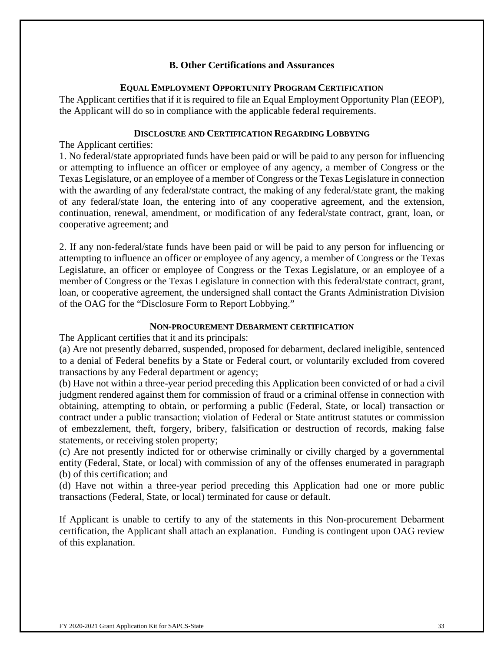### **B. Other Certifications and Assurances**

#### **EQUAL EMPLOYMENT OPPORTUNITY PROGRAM CERTIFICATION**

The Applicant certifies that if it is required to file an Equal Employment Opportunity Plan (EEOP), the Applicant will do so in compliance with the applicable federal requirements.

#### **DISCLOSURE AND CERTIFICATION REGARDING LOBBYING**

The Applicant certifies:

1. No federal/state appropriated funds have been paid or will be paid to any person for influencing or attempting to influence an officer or employee of any agency, a member of Congress or the Texas Legislature, or an employee of a member of Congress or the Texas Legislature in connection with the awarding of any federal/state contract, the making of any federal/state grant, the making of any federal/state loan, the entering into of any cooperative agreement, and the extension, continuation, renewal, amendment, or modification of any federal/state contract, grant, loan, or cooperative agreement; and

2. If any non-federal/state funds have been paid or will be paid to any person for influencing or attempting to influence an officer or employee of any agency, a member of Congress or the Texas Legislature, an officer or employee of Congress or the Texas Legislature, or an employee of a member of Congress or the Texas Legislature in connection with this federal/state contract, grant, loan, or cooperative agreement, the undersigned shall contact the Grants Administration Division of the OAG for the "Disclosure Form to Report Lobbying."

### **NON-PROCUREMENT DEBARMENT CERTIFICATION**

The Applicant certifies that it and its principals:

(a) Are not presently debarred, suspended, proposed for debarment, declared ineligible, sentenced to a denial of Federal benefits by a State or Federal court, or voluntarily excluded from covered transactions by any Federal department or agency;

(b) Have not within a three-year period preceding this Application been convicted of or had a civil judgment rendered against them for commission of fraud or a criminal offense in connection with obtaining, attempting to obtain, or performing a public (Federal, State, or local) transaction or contract under a public transaction; violation of Federal or State antitrust statutes or commission of embezzlement, theft, forgery, bribery, falsification or destruction of records, making false statements, or receiving stolen property;

(c) Are not presently indicted for or otherwise criminally or civilly charged by a governmental entity (Federal, State, or local) with commission of any of the offenses enumerated in paragraph (b) of this certification; and

(d) Have not within a three-year period preceding this Application had one or more public transactions (Federal, State, or local) terminated for cause or default.

If Applicant is unable to certify to any of the statements in this Non-procurement Debarment certification, the Applicant shall attach an explanation. Funding is contingent upon OAG review of this explanation.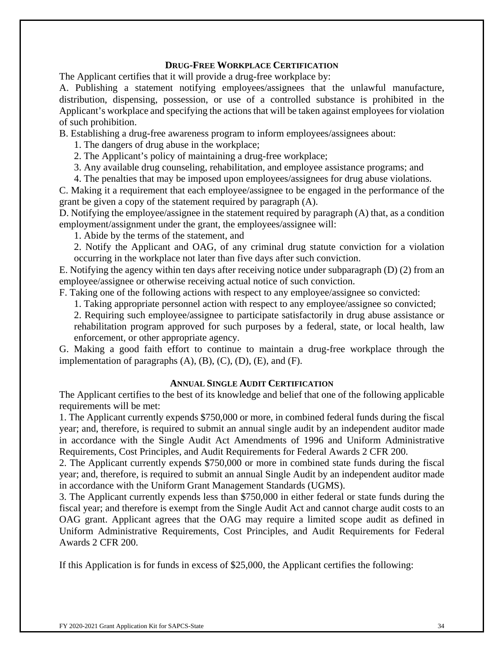### **DRUG-FREE WORKPLACE CERTIFICATION**

The Applicant certifies that it will provide a drug-free workplace by:

A. Publishing a statement notifying employees/assignees that the unlawful manufacture, distribution, dispensing, possession, or use of a controlled substance is prohibited in the Applicant's workplace and specifying the actions that will be taken against employees for violation of such prohibition.

B. Establishing a drug-free awareness program to inform employees/assignees about:

1. The dangers of drug abuse in the workplace;

2. The Applicant's policy of maintaining a drug-free workplace;

3. Any available drug counseling, rehabilitation, and employee assistance programs; and

4. The penalties that may be imposed upon employees/assignees for drug abuse violations.

C. Making it a requirement that each employee/assignee to be engaged in the performance of the grant be given a copy of the statement required by paragraph (A).

D. Notifying the employee/assignee in the statement required by paragraph (A) that, as a condition employment/assignment under the grant, the employees/assignee will:

1. Abide by the terms of the statement, and

2. Notify the Applicant and OAG, of any criminal drug statute conviction for a violation occurring in the workplace not later than five days after such conviction.

E. Notifying the agency within ten days after receiving notice under subparagraph (D) (2) from an employee/assignee or otherwise receiving actual notice of such conviction.

F. Taking one of the following actions with respect to any employee/assignee so convicted:

1. Taking appropriate personnel action with respect to any employee/assignee so convicted;

2. Requiring such employee/assignee to participate satisfactorily in drug abuse assistance or rehabilitation program approved for such purposes by a federal, state, or local health, law enforcement, or other appropriate agency.

G. Making a good faith effort to continue to maintain a drug-free workplace through the implementation of paragraphs  $(A)$ ,  $(B)$ ,  $(C)$ ,  $(D)$ ,  $(E)$ , and  $(F)$ .

#### **ANNUAL SINGLE AUDIT CERTIFICATION**

The Applicant certifies to the best of its knowledge and belief that one of the following applicable requirements will be met:

1. The Applicant currently expends \$750,000 or more, in combined federal funds during the fiscal year; and, therefore, is required to submit an annual single audit by an independent auditor made in accordance with the Single Audit Act Amendments of 1996 and Uniform Administrative Requirements, Cost Principles, and Audit Requirements for Federal Awards 2 CFR 200.

2. The Applicant currently expends \$750,000 or more in combined state funds during the fiscal year; and, therefore, is required to submit an annual Single Audit by an independent auditor made in accordance with the Uniform Grant Management Standards (UGMS).

3. The Applicant currently expends less than \$750,000 in either federal or state funds during the fiscal year; and therefore is exempt from the Single Audit Act and cannot charge audit costs to an OAG grant. Applicant agrees that the OAG may require a limited scope audit as defined in Uniform Administrative Requirements, Cost Principles, and Audit Requirements for Federal Awards 2 CFR 200.

If this Application is for funds in excess of \$25,000, the Applicant certifies the following: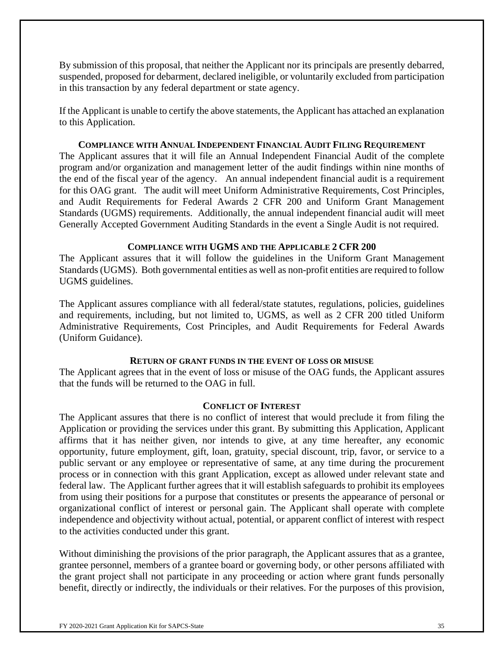By submission of this proposal, that neither the Applicant nor its principals are presently debarred, suspended, proposed for debarment, declared ineligible, or voluntarily excluded from participation in this transaction by any federal department or state agency.

If the Applicant is unable to certify the above statements, the Applicant has attached an explanation to this Application.

### **COMPLIANCE WITH ANNUAL INDEPENDENT FINANCIAL AUDIT FILING REQUIREMENT**

The Applicant assures that it will file an Annual Independent Financial Audit of the complete program and/or organization and management letter of the audit findings within nine months of the end of the fiscal year of the agency. An annual independent financial audit is a requirement for this OAG grant. The audit will meet Uniform Administrative Requirements, Cost Principles, and Audit Requirements for Federal Awards 2 CFR 200 and Uniform Grant Management Standards (UGMS) requirements. Additionally, the annual independent financial audit will meet Generally Accepted Government Auditing Standards in the event a Single Audit is not required.

### **COMPLIANCE WITH UGMS AND THE APPLICABLE 2 CFR 200**

The Applicant assures that it will follow the guidelines in the Uniform Grant Management Standards (UGMS). Both governmental entities as well as non-profit entities are required to follow UGMS guidelines.

The Applicant assures compliance with all federal/state statutes, regulations, policies, guidelines and requirements, including, but not limited to, UGMS, as well as 2 CFR 200 titled Uniform Administrative Requirements, Cost Principles, and Audit Requirements for Federal Awards (Uniform Guidance).

### **RETURN OF GRANT FUNDS IN THE EVENT OF LOSS OR MISUSE**

The Applicant agrees that in the event of loss or misuse of the OAG funds, the Applicant assures that the funds will be returned to the OAG in full.

### **CONFLICT OF INTEREST**

The Applicant assures that there is no conflict of interest that would preclude it from filing the Application or providing the services under this grant. By submitting this Application, Applicant affirms that it has neither given, nor intends to give, at any time hereafter, any economic opportunity, future employment, gift, loan, gratuity, special discount, trip, favor, or service to a public servant or any employee or representative of same, at any time during the procurement process or in connection with this grant Application, except as allowed under relevant state and federal law. The Applicant further agrees that it will establish safeguards to prohibit its employees from using their positions for a purpose that constitutes or presents the appearance of personal or organizational conflict of interest or personal gain. The Applicant shall operate with complete independence and objectivity without actual, potential, or apparent conflict of interest with respect to the activities conducted under this grant.

Without diminishing the provisions of the prior paragraph, the Applicant assures that as a grantee, grantee personnel, members of a grantee board or governing body, or other persons affiliated with the grant project shall not participate in any proceeding or action where grant funds personally benefit, directly or indirectly, the individuals or their relatives. For the purposes of this provision,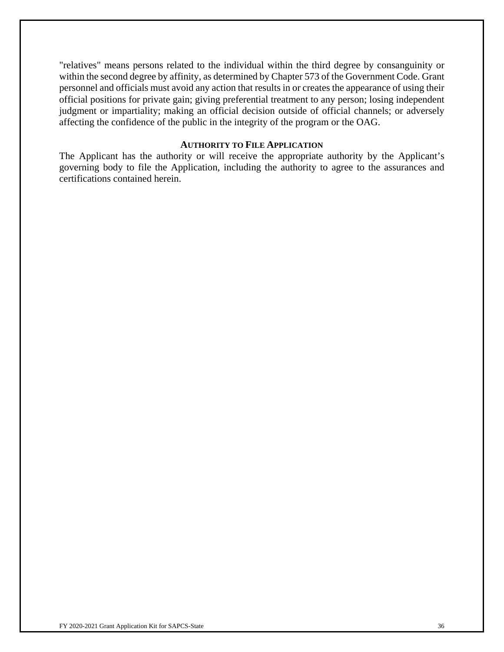"relatives" means persons related to the individual within the third degree by consanguinity or within the second degree by affinity, as determined by Chapter 573 of the Government Code. Grant personnel and officials must avoid any action that results in or creates the appearance of using their official positions for private gain; giving preferential treatment to any person; losing independent judgment or impartiality; making an official decision outside of official channels; or adversely affecting the confidence of the public in the integrity of the program or the OAG.

### **AUTHORITY TO FILE APPLICATION**

The Applicant has the authority or will receive the appropriate authority by the Applicant's governing body to file the Application, including the authority to agree to the assurances and certifications contained herein.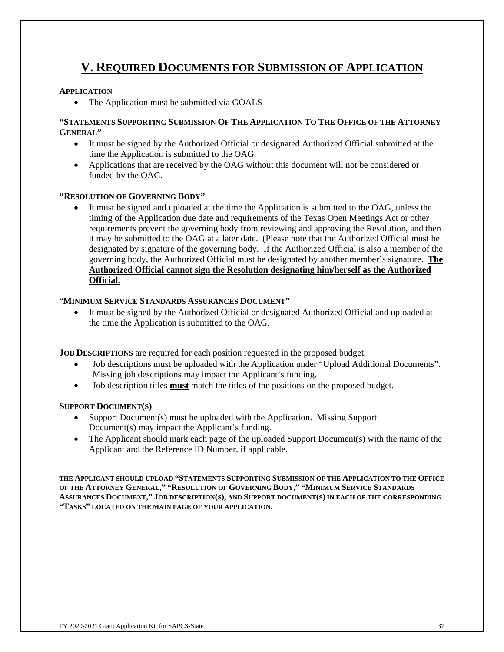# **V. REQUIRED DOCUMENTS FOR SUBMISSION OF APPLICATION**

#### **APPLICATION**

• The Application must be submitted via GOALS

#### **"STATEMENTS SUPPORTING SUBMISSION OF THE APPLICATION TO THE OFFICE OF THE ATTORNEY GENERAL"**

- It must be signed by the Authorized Official or designated Authorized Official submitted at the time the Application is submitted to the OAG.
- Applications that are received by the OAG without this document will not be considered or funded by the OAG.

#### **"RESOLUTION OF GOVERNING BODY"**

 It must be signed and uploaded at the time the Application is submitted to the OAG, unless the timing of the Application due date and requirements of the Texas Open Meetings Act or other requirements prevent the governing body from reviewing and approving the Resolution, and then it may be submitted to the OAG at a later date. (Please note that the Authorized Official must be designated by signature of the governing body. If the Authorized Official is also a member of the governing body, the Authorized Official must be designated by another member's signature. **The Authorized Official cannot sign the Resolution designating him/herself as the Authorized Official.** 

#### "**MINIMUM SERVICE STANDARDS ASSURANCES DOCUMENT"**

 It must be signed by the Authorized Official or designated Authorized Official and uploaded at the time the Application is submitted to the OAG.

**JOB DESCRIPTIONS** are required for each position requested in the proposed budget.

- Job descriptions must be uploaded with the Application under "Upload Additional Documents". Missing job descriptions may impact the Applicant's funding.
- Job description titles **must** match the titles of the positions on the proposed budget.

#### **SUPPORT DOCUMENT(S)**

- Support Document(s) must be uploaded with the Application. Missing Support Document(s) may impact the Applicant's funding.
- The Applicant should mark each page of the uploaded Support Document(s) with the name of the Applicant and the Reference ID Number, if applicable.

**THE APPLICANT SHOULD UPLOAD "STATEMENTS SUPPORTING SUBMISSION OF THE APPLICATION TO THE OFFICE OF THE ATTORNEY GENERAL," "RESOLUTION OF GOVERNING BODY," "MINIMUM SERVICE STANDARDS ASSURANCES DOCUMENT," JOB DESCRIPTION(S), AND SUPPORT DOCUMENT(S) IN EACH OF THE CORRESPONDING "TASKS" LOCATED ON THE MAIN PAGE OF YOUR APPLICATION.**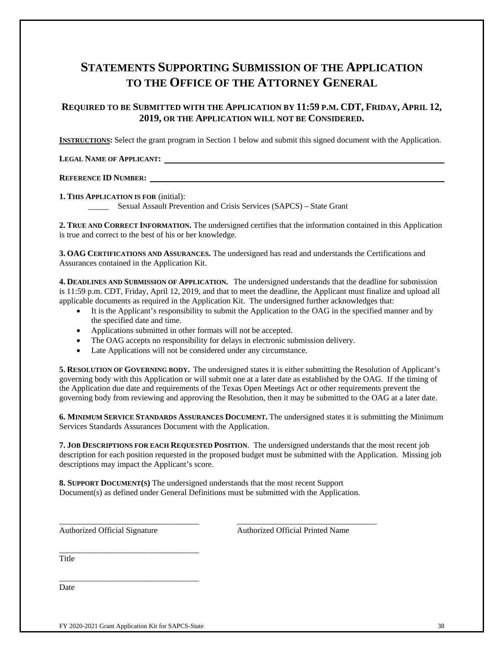# **STATEMENTS SUPPORTING SUBMISSION OF THE APPLICATION TO THE OFFICE OF THE ATTORNEY GENERAL**

#### **REQUIRED TO BE SUBMITTED WITH THE APPLICATION BY 11:59 P.M. CDT, FRIDAY, APRIL 12, 2019, OR THE APPLICATION WILL NOT BE CONSIDERED.**

**INSTRUCTIONS:** Select the grant program in Section 1 below and submit this signed document with the Application.

**LEGAL NAME OF APPLICANT:** 

#### **REFERENCE ID NUMBER:**

**1. THIS APPLICATION IS FOR** (initial):

\_\_\_\_\_ Sexual Assault Prevention and Crisis Services (SAPCS) – State Grant

**2. TRUE AND CORRECT INFORMATION.** The undersigned certifies that the information contained in this Application is true and correct to the best of his or her knowledge.

**3. OAG CERTIFICATIONS AND ASSURANCES.** The undersigned has read and understands the Certifications and Assurances contained in the Application Kit.

**4. DEADLINES AND SUBMISSION OF APPLICATION.** The undersigned understands that the deadline for submission is 11:59 p.m. CDT, Friday, April 12, 2019, and that to meet the deadline, the Applicant must finalize and upload all applicable documents as required in the Application Kit. The undersigned further acknowledges that:

- It is the Applicant's responsibility to submit the Application to the OAG in the specified manner and by the specified date and time.
- Applications submitted in other formats will not be accepted.
- The OAG accepts no responsibility for delays in electronic submission delivery.
- Late Applications will not be considered under any circumstance.

**5. RESOLUTION OF GOVERNING BODY.** The undersigned states it is either submitting the Resolution of Applicant's governing body with this Application or will submit one at a later date as established by the OAG. If the timing of the Application due date and requirements of the Texas Open Meetings Act or other requirements prevent the governing body from reviewing and approving the Resolution, then it may be submitted to the OAG at a later date.

**6. MINIMUM SERVICE STANDARDS ASSURANCES DOCUMENT.** The undersigned states it is submitting the Minimum Services Standards Assurances Document with the Application.

**7. JOB DESCRIPTIONS FOR EACH REQUESTED POSITION**. The undersigned understands that the most recent job description for each position requested in the proposed budget must be submitted with the Application. Missing job descriptions may impact the Applicant's score.

**8. SUPPORT DOCUMENT(S)** The undersigned understands that the most recent Support Document(s) as defined under General Definitions must be submitted with the Application.

\_\_\_\_\_\_\_\_\_\_\_\_\_\_\_\_\_\_\_\_\_\_\_\_\_\_\_\_\_\_\_\_\_\_ \_\_\_\_\_\_\_\_\_\_\_\_\_\_\_\_\_\_\_\_\_\_\_\_\_\_\_\_\_\_\_\_\_\_

Authorized Official Signature Authorized Official Printed Name

**Title** 

Date

\_\_\_\_\_\_\_\_\_\_\_\_\_\_\_\_\_\_\_\_\_\_\_\_\_\_\_\_\_\_\_\_\_\_

\_\_\_\_\_\_\_\_\_\_\_\_\_\_\_\_\_\_\_\_\_\_\_\_\_\_\_\_\_\_\_\_\_\_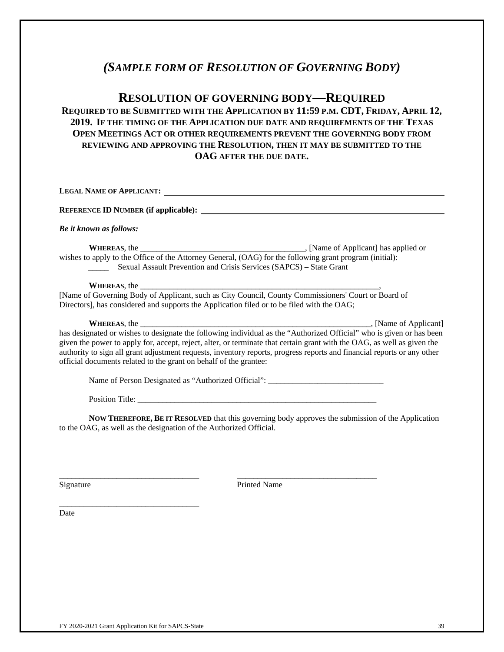# *(SAMPLE FORM OF RESOLUTION OF GOVERNING BODY)*

## **RESOLUTION OF GOVERNING BODY—REQUIRED**

### **REQUIRED TO BE SUBMITTED WITH THE APPLICATION BY 11:59 P.M. CDT, FRIDAY, APRIL 12, 2019. IF THE TIMING OF THE APPLICATION DUE DATE AND REQUIREMENTS OF THE TEXAS OPEN MEETINGS ACT OR OTHER REQUIREMENTS PREVENT THE GOVERNING BODY FROM REVIEWING AND APPROVING THE RESOLUTION, THEN IT MAY BE SUBMITTED TO THE OAG AFTER THE DUE DATE.**

| Be it known as follows:                                                                                                                                                                                                                                                                                                                                                                                                                         |
|-------------------------------------------------------------------------------------------------------------------------------------------------------------------------------------------------------------------------------------------------------------------------------------------------------------------------------------------------------------------------------------------------------------------------------------------------|
| Sexual Assault Prevention and Crisis Services (SAPCS) – State Grant                                                                                                                                                                                                                                                                                                                                                                             |
| WHEREAS, the service of the service of the service of the service of the service of the service of the service of the service of the service of the service of the service of the service of the service of the service of the<br>[Name of Governing Body of Applicant, such as City Council, County Commissioners' Court or Board of<br>Directors], has considered and supports the Application filed or to be filed with the OAG;             |
| has designated or wishes to designate the following individual as the "Authorized Official" who is given or has been<br>given the power to apply for, accept, reject, alter, or terminate that certain grant with the OAG, as well as given the<br>authority to sign all grant adjustment requests, inventory reports, progress reports and financial reports or any other<br>official documents related to the grant on behalf of the grantee: |
| Name of Person Designated as "Authorized Official": _____________________________                                                                                                                                                                                                                                                                                                                                                               |
|                                                                                                                                                                                                                                                                                                                                                                                                                                                 |
| Now Tupppeop Dr w Dreat upp that this covering hady enverse the submission of the Application                                                                                                                                                                                                                                                                                                                                                   |

**NOW THEREFORE, BE IT RESOLVED** that this governing body approves the submission of the Application to the OAG, as well as the designation of the Authorized Official.

\_\_\_\_\_\_\_\_\_\_\_\_\_\_\_\_\_\_\_\_\_\_\_\_\_\_\_\_\_\_\_\_\_\_ \_\_\_\_\_\_\_\_\_\_\_\_\_\_\_\_\_\_\_\_\_\_\_\_\_\_\_\_\_\_\_\_\_\_

Signature Printed Name

\_\_\_\_\_\_\_\_\_\_\_\_\_\_\_\_\_\_\_\_\_\_\_\_\_\_\_\_\_\_\_\_\_\_ Date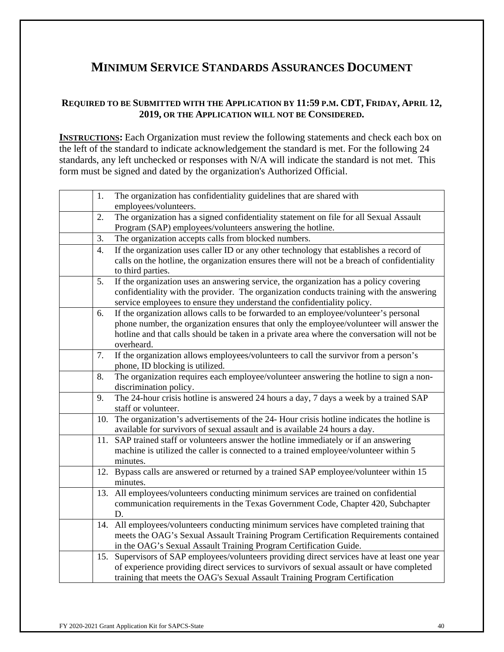# **MINIMUM SERVICE STANDARDS ASSURANCES DOCUMENT**

### **REQUIRED TO BE SUBMITTED WITH THE APPLICATION BY 11:59 P.M. CDT, FRIDAY, APRIL 12, 2019, OR THE APPLICATION WILL NOT BE CONSIDERED.**

**INSTRUCTIONS:** Each Organization must review the following statements and check each box on the left of the standard to indicate acknowledgement the standard is met. For the following 24 standards, any left unchecked or responses with N/A will indicate the standard is not met. This form must be signed and dated by the organization's Authorized Official.

| 1.  | The organization has confidentiality guidelines that are shared with                         |
|-----|----------------------------------------------------------------------------------------------|
|     | employees/volunteers.                                                                        |
| 2.  | The organization has a signed confidentiality statement on file for all Sexual Assault       |
|     | Program (SAP) employees/volunteers answering the hotline.                                    |
| 3.  | The organization accepts calls from blocked numbers.                                         |
| 4.  | If the organization uses caller ID or any other technology that establishes a record of      |
|     | calls on the hotline, the organization ensures there will not be a breach of confidentiality |
|     | to third parties.                                                                            |
| 5.  | If the organization uses an answering service, the organization has a policy covering        |
|     | confidentiality with the provider. The organization conducts training with the answering     |
|     | service employees to ensure they understand the confidentiality policy.                      |
| 6.  | If the organization allows calls to be forwarded to an employee/volunteer's personal         |
|     | phone number, the organization ensures that only the employee/volunteer will answer the      |
|     | hotline and that calls should be taken in a private area where the conversation will not be  |
|     | overheard.                                                                                   |
| 7.  | If the organization allows employees/volunteers to call the survivor from a person's         |
|     | phone, ID blocking is utilized.                                                              |
| 8.  | The organization requires each employee/volunteer answering the hotline to sign a non-       |
|     | discrimination policy.                                                                       |
| 9.  | The 24-hour crisis hotline is answered 24 hours a day, 7 days a week by a trained SAP        |
|     | staff or volunteer.                                                                          |
| 10. | The organization's advertisements of the 24- Hour crisis hotline indicates the hotline is    |
|     | available for survivors of sexual assault and is available 24 hours a day.                   |
| 11. | SAP trained staff or volunteers answer the hotline immediately or if an answering            |
|     | machine is utilized the caller is connected to a trained employee/volunteer within 5         |
|     | minutes.                                                                                     |
|     | 12. Bypass calls are answered or returned by a trained SAP employee/volunteer within 15      |
|     | minutes.                                                                                     |
| 13. | All employees/volunteers conducting minimum services are trained on confidential             |
|     | communication requirements in the Texas Government Code, Chapter 420, Subchapter             |
|     | D.                                                                                           |
|     | 14. All employees/volunteers conducting minimum services have completed training that        |
|     | meets the OAG's Sexual Assault Training Program Certification Requirements contained         |
|     | in the OAG's Sexual Assault Training Program Certification Guide.                            |
|     | 15. Supervisors of SAP employees/volunteers providing direct services have at least one year |
|     | of experience providing direct services to survivors of sexual assault or have completed     |
|     | training that meets the OAG's Sexual Assault Training Program Certification                  |
|     |                                                                                              |